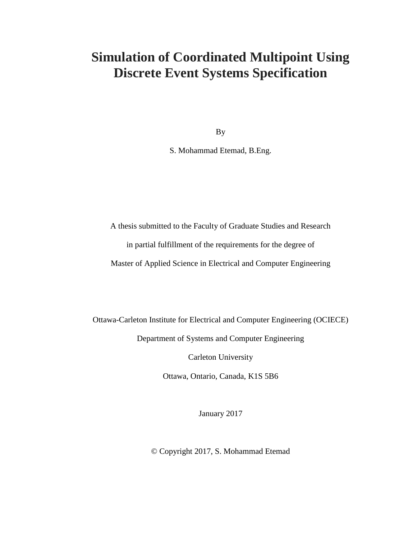### **Simulation of Coordinated Multipoint Using Discrete Event Systems Specification**

By

S. Mohammad Etemad, B.Eng.

A thesis submitted to the Faculty of Graduate Studies and Research

in partial fulfillment of the requirements for the degree of

Master of Applied Science in Electrical and Computer Engineering

Ottawa-Carleton Institute for Electrical and Computer Engineering (OCIECE)

Department of Systems and Computer Engineering

Carleton University

Ottawa, Ontario, Canada, K1S 5B6

January 2017

© Copyright 2017, S. Mohammad Etemad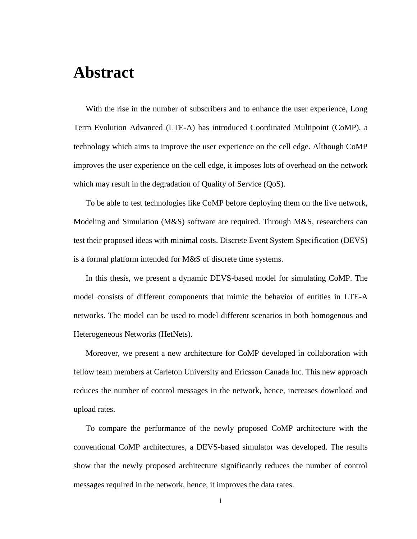## <span id="page-1-0"></span>**Abstract**

With the rise in the number of subscribers and to enhance the user experience, Long Term Evolution Advanced (LTE-A) has introduced Coordinated Multipoint (CoMP), a technology which aims to improve the user experience on the cell edge. Although CoMP improves the user experience on the cell edge, it imposes lots of overhead on the network which may result in the degradation of Quality of Service (QoS).

To be able to test technologies like CoMP before deploying them on the live network, Modeling and Simulation (M&S) software are required. Through M&S, researchers can test their proposed ideas with minimal costs. Discrete Event System Specification (DEVS) is a formal platform intended for M&S of discrete time systems.

In this thesis, we present a dynamic DEVS-based model for simulating CoMP. The model consists of different components that mimic the behavior of entities in LTE-A networks. The model can be used to model different scenarios in both homogenous and Heterogeneous Networks (HetNets).

Moreover, we present a new architecture for CoMP developed in collaboration with fellow team members at Carleton University and Ericsson Canada Inc. This new approach reduces the number of control messages in the network, hence, increases download and upload rates.

To compare the performance of the newly proposed CoMP architecture with the conventional CoMP architectures, a DEVS-based simulator was developed. The results show that the newly proposed architecture significantly reduces the number of control messages required in the network, hence, it improves the data rates.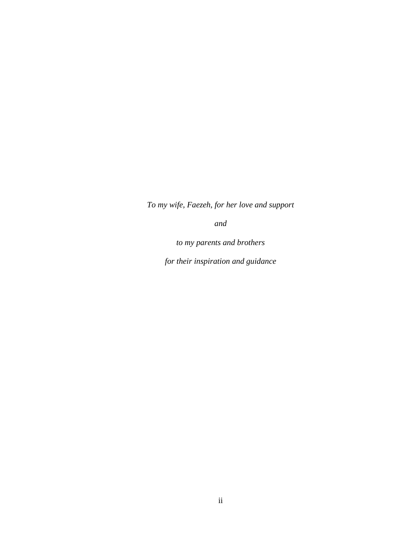*To my wife, Faezeh, for her love and support*

*and*

*to my parents and brothers*

*for their inspiration and guidance*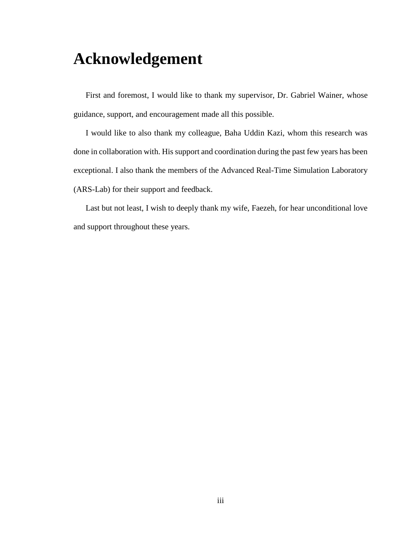## <span id="page-3-0"></span>**Acknowledgement**

First and foremost, I would like to thank my supervisor, Dr. Gabriel Wainer, whose guidance, support, and encouragement made all this possible.

I would like to also thank my colleague, Baha Uddin Kazi, whom this research was done in collaboration with. His support and coordination during the past few years has been exceptional. I also thank the members of the Advanced Real-Time Simulation Laboratory (ARS-Lab) for their support and feedback.

Last but not least, I wish to deeply thank my wife, Faezeh, for hear unconditional love and support throughout these years.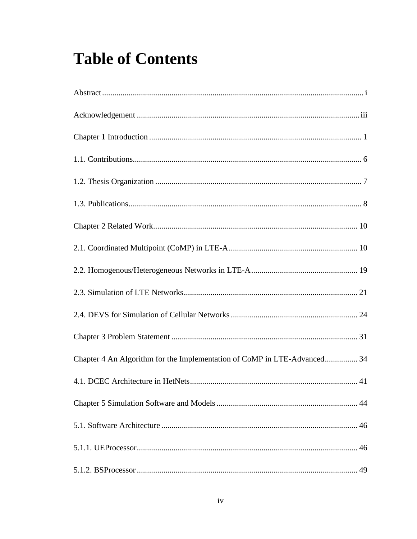# **Table of Contents**

| Chapter 4 An Algorithm for the Implementation of CoMP in LTE-Advanced 34 |
|--------------------------------------------------------------------------|
|                                                                          |
|                                                                          |
|                                                                          |
|                                                                          |
|                                                                          |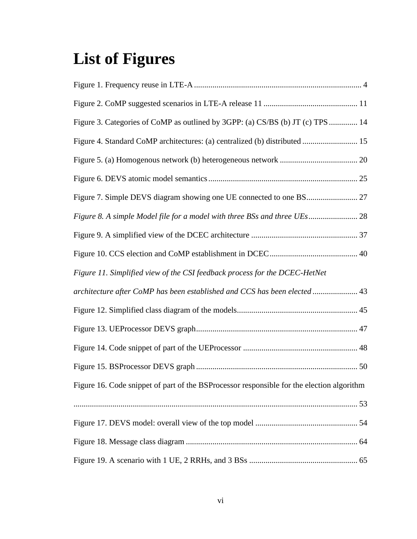# **List of Figures**

| Figure 3. Categories of CoMP as outlined by 3GPP: (a) CS/BS (b) JT (c) TPS  14            |  |
|-------------------------------------------------------------------------------------------|--|
| Figure 4. Standard CoMP architectures: (a) centralized (b) distributed  15                |  |
|                                                                                           |  |
|                                                                                           |  |
|                                                                                           |  |
|                                                                                           |  |
|                                                                                           |  |
|                                                                                           |  |
| Figure 11. Simplified view of the CSI feedback process for the DCEC-HetNet                |  |
| architecture after CoMP has been established and CCS has been elected 43                  |  |
|                                                                                           |  |
|                                                                                           |  |
|                                                                                           |  |
|                                                                                           |  |
| Figure 16. Code snippet of part of the BSProcessor responsible for the election algorithm |  |
|                                                                                           |  |
|                                                                                           |  |
|                                                                                           |  |
|                                                                                           |  |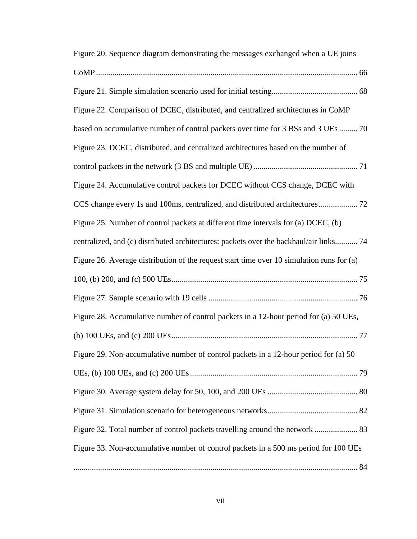| Figure 20. Sequence diagram demonstrating the messages exchanged when a UE joins          |
|-------------------------------------------------------------------------------------------|
|                                                                                           |
|                                                                                           |
| Figure 22. Comparison of DCEC, distributed, and centralized architectures in CoMP         |
| based on accumulative number of control packets over time for 3 BSs and 3 UEs  70         |
| Figure 23. DCEC, distributed, and centralized architectures based on the number of        |
|                                                                                           |
| Figure 24. Accumulative control packets for DCEC without CCS change, DCEC with            |
|                                                                                           |
| Figure 25. Number of control packets at different time intervals for (a) DCEC, (b)        |
| centralized, and (c) distributed architectures: packets over the backhaul/air links 74    |
| Figure 26. Average distribution of the request start time over 10 simulation runs for (a) |
|                                                                                           |
|                                                                                           |
| Figure 28. Accumulative number of control packets in a 12-hour period for (a) 50 UEs,     |
|                                                                                           |
| Figure 29. Non-accumulative number of control packets in a 12-hour period for (a) 50      |
|                                                                                           |
|                                                                                           |
|                                                                                           |
|                                                                                           |
| Figure 33. Non-accumulative number of control packets in a 500 ms period for 100 UEs      |
|                                                                                           |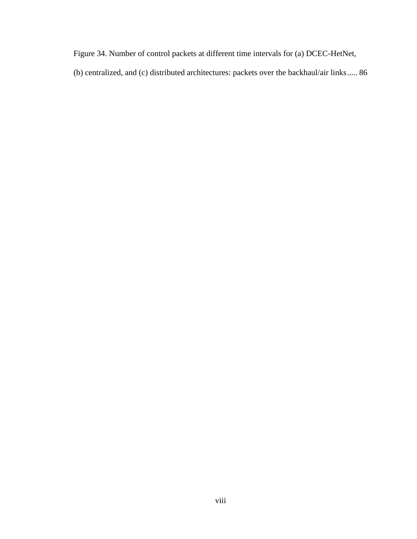[Figure 34. Number of control packets at different time intervals for \(a\) DCEC-HetNet,](#page-98-0) 

[\(b\) centralized, and \(c\) distributed architectures: packets over the backhaul/air links.....](#page-98-0) 86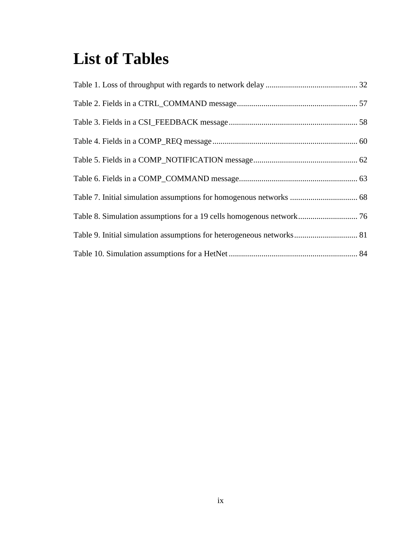# **List of Tables**

| Table 9. Initial simulation assumptions for heterogeneous networks 81 |  |
|-----------------------------------------------------------------------|--|
|                                                                       |  |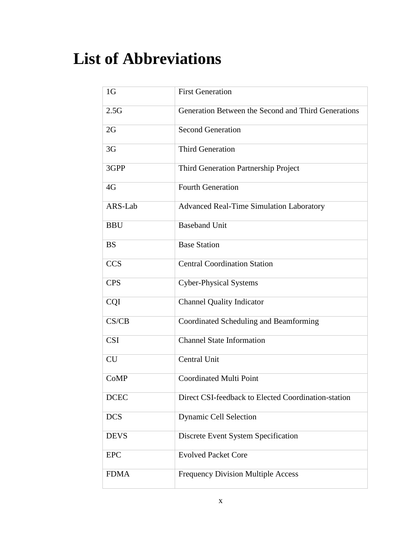# **List of Abbreviations**

| 1 <sub>G</sub> | <b>First Generation</b>                             |
|----------------|-----------------------------------------------------|
| 2.5G           | Generation Between the Second and Third Generations |
| 2G             | <b>Second Generation</b>                            |
| 3 <sub>G</sub> | <b>Third Generation</b>                             |
| 3GPP           | Third Generation Partnership Project                |
| 4G             | <b>Fourth Generation</b>                            |
| ARS-Lab        | <b>Advanced Real-Time Simulation Laboratory</b>     |
| <b>BBU</b>     | <b>Baseband Unit</b>                                |
| <b>BS</b>      | <b>Base Station</b>                                 |
| <b>CCS</b>     | <b>Central Coordination Station</b>                 |
| <b>CPS</b>     | <b>Cyber-Physical Systems</b>                       |
| <b>CQI</b>     | <b>Channel Quality Indicator</b>                    |
| CS/CB          | Coordinated Scheduling and Beamforming              |
| <b>CSI</b>     | <b>Channel State Information</b>                    |
| <b>CU</b>      | Central Unit                                        |
| CoMP           | <b>Coordinated Multi Point</b>                      |
| <b>DCEC</b>    | Direct CSI-feedback to Elected Coordination-station |
| <b>DCS</b>     | Dynamic Cell Selection                              |
| <b>DEVS</b>    | Discrete Event System Specification                 |
| <b>EPC</b>     | <b>Evolved Packet Core</b>                          |
| <b>FDMA</b>    | Frequency Division Multiple Access                  |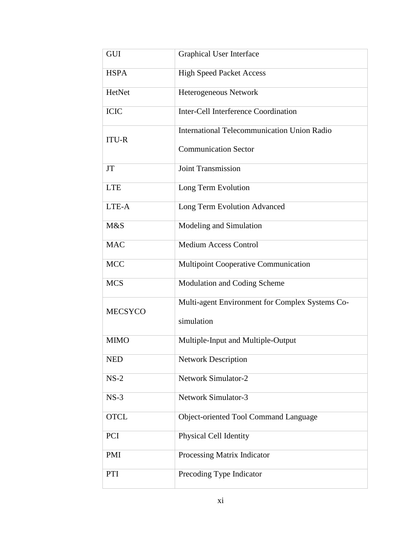| GUI            | <b>Graphical User Interface</b>                 |
|----------------|-------------------------------------------------|
| <b>HSPA</b>    | <b>High Speed Packet Access</b>                 |
| HetNet         | Heterogeneous Network                           |
| <b>ICIC</b>    | Inter-Cell Interference Coordination            |
| <b>ITU-R</b>   | International Telecommunication Union Radio     |
|                | <b>Communication Sector</b>                     |
| <b>JT</b>      | <b>Joint Transmission</b>                       |
| <b>LTE</b>     | Long Term Evolution                             |
| LTE-A          | Long Term Evolution Advanced                    |
| M&S            | Modeling and Simulation                         |
| <b>MAC</b>     | <b>Medium Access Control</b>                    |
| <b>MCC</b>     | <b>Multipoint Cooperative Communication</b>     |
| <b>MCS</b>     | Modulation and Coding Scheme                    |
| <b>MECSYCO</b> | Multi-agent Environment for Complex Systems Co- |
|                | simulation                                      |
| <b>MIMO</b>    | Multiple-Input and Multiple-Output              |
| <b>NED</b>     | <b>Network Description</b>                      |
| $NS-2$         | <b>Network Simulator-2</b>                      |
| $NS-3$         | <b>Network Simulator-3</b>                      |
| <b>OTCL</b>    | Object-oriented Tool Command Language           |
| PCI            | Physical Cell Identity                          |
| <b>PMI</b>     | Processing Matrix Indicator                     |
| PTI            | Precoding Type Indicator                        |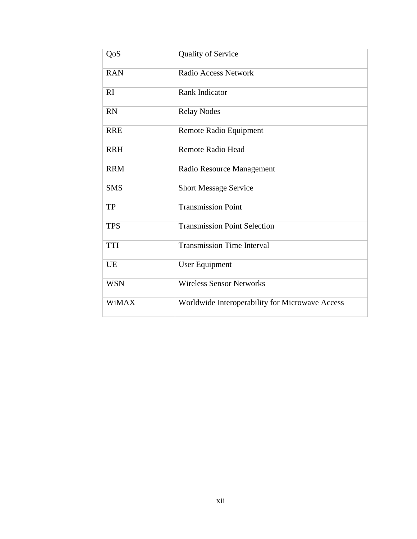| QoS          | <b>Quality of Service</b>                       |
|--------------|-------------------------------------------------|
| <b>RAN</b>   | Radio Access Network                            |
| RI           | <b>Rank Indicator</b>                           |
| <b>RN</b>    | <b>Relay Nodes</b>                              |
| <b>RRE</b>   | Remote Radio Equipment                          |
| <b>RRH</b>   | <b>Remote Radio Head</b>                        |
| <b>RRM</b>   | Radio Resource Management                       |
| <b>SMS</b>   | <b>Short Message Service</b>                    |
| <b>TP</b>    | <b>Transmission Point</b>                       |
| <b>TPS</b>   | <b>Transmission Point Selection</b>             |
| <b>TTI</b>   | <b>Transmission Time Interval</b>               |
| <b>UE</b>    | User Equipment                                  |
| <b>WSN</b>   | <b>Wireless Sensor Networks</b>                 |
| <b>WiMAX</b> | Worldwide Interoperability for Microwave Access |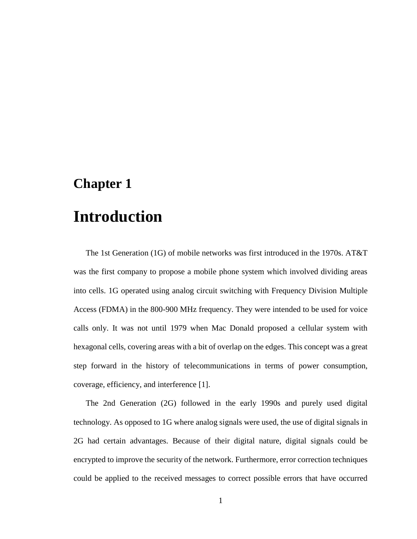### <span id="page-13-0"></span>**Chapter 1**

## **Introduction**

The 1st Generation (1G) of mobile networks was first introduced in the 1970s. AT&T was the first company to propose a mobile phone system which involved dividing areas into cells. 1G operated using analog circuit switching with Frequency Division Multiple Access (FDMA) in the 800-900 MHz frequency. They were intended to be used for voice calls only. It was not until 1979 when Mac Donald proposed a cellular system with hexagonal cells, covering areas with a bit of overlap on the edges. This concept was a great step forward in the history of telecommunications in terms of power consumption, coverage, efficiency, and interference [1].

The 2nd Generation (2G) followed in the early 1990s and purely used digital technology. As opposed to 1G where analog signals were used, the use of digital signals in 2G had certain advantages. Because of their digital nature, digital signals could be encrypted to improve the security of the network. Furthermore, error correction techniques could be applied to the received messages to correct possible errors that have occurred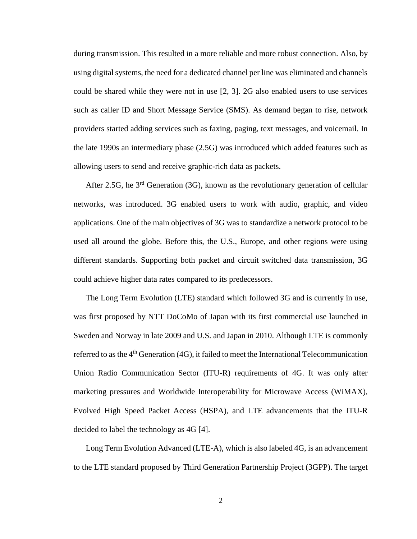during transmission. This resulted in a more reliable and more robust connection. Also, by using digital systems, the need for a dedicated channel per line was eliminated and channels could be shared while they were not in use [2, 3]. 2G also enabled users to use services such as caller ID and Short Message Service (SMS). As demand began to rise, network providers started adding services such as faxing, paging, text messages, and voicemail. In the late 1990s an intermediary phase (2.5G) was introduced which added features such as allowing users to send and receive graphic-rich data as packets.

After 2.5G, he  $3<sup>rd</sup>$  Generation (3G), known as the revolutionary generation of cellular networks, was introduced. 3G enabled users to work with audio, graphic, and video applications. One of the main objectives of 3G was to standardize a network protocol to be used all around the globe. Before this, the U.S., Europe, and other regions were using different standards. Supporting both packet and circuit switched data transmission, 3G could achieve higher data rates compared to its predecessors.

The Long Term Evolution (LTE) standard which followed 3G and is currently in use, was first proposed by NTT DoCoMo of Japan with its first commercial use launched in Sweden and Norway in late 2009 and U.S. and Japan in 2010. Although LTE is commonly referred to as the  $4<sup>th</sup>$  Generation (4G), it failed to meet the International Telecommunication Union Radio Communication Sector (ITU-R) requirements of 4G. It was only after marketing pressures and Worldwide Interoperability for Microwave Access (WiMAX), Evolved High Speed Packet Access (HSPA), and LTE advancements that the ITU-R decided to label the technology as 4G [4].

Long Term Evolution Advanced (LTE-A), which is also labeled 4G, is an advancement to the LTE standard proposed by Third Generation Partnership Project (3GPP). The target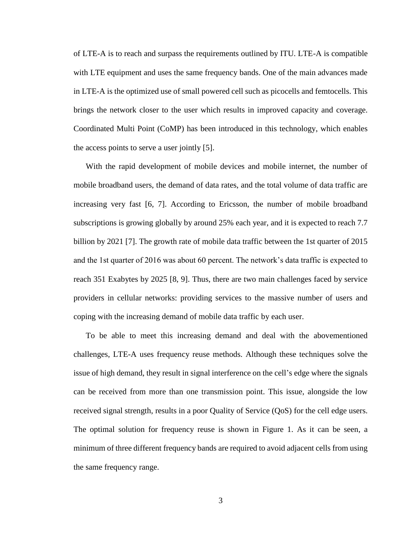of LTE-A is to reach and surpass the requirements outlined by ITU. LTE-A is compatible with LTE equipment and uses the same frequency bands. One of the main advances made in LTE-A is the optimized use of small powered cell such as picocells and femtocells. This brings the network closer to the user which results in improved capacity and coverage. Coordinated Multi Point (CoMP) has been introduced in this technology, which enables the access points to serve a user jointly [5].

With the rapid development of mobile devices and mobile internet, the number of mobile broadband users, the demand of data rates, and the total volume of data traffic are increasing very fast [6, 7]. According to Ericsson, the number of mobile broadband subscriptions is growing globally by around 25% each year, and it is expected to reach 7.7 billion by 2021 [7]. The growth rate of mobile data traffic between the 1st quarter of 2015 and the 1st quarter of 2016 was about 60 percent. The network's data traffic is expected to reach 351 Exabytes by 2025 [8, 9]. Thus, there are two main challenges faced by service providers in cellular networks: providing services to the massive number of users and coping with the increasing demand of mobile data traffic by each user.

To be able to meet this increasing demand and deal with the abovementioned challenges, LTE-A uses frequency reuse methods. Although these techniques solve the issue of high demand, they result in signal interference on the cell's edge where the signals can be received from more than one transmission point. This issue, alongside the low received signal strength, results in a poor Quality of Service (QoS) for the cell edge users. The optimal solution for frequency reuse is shown in [Figure 1.](#page-16-0) As it can be seen, a minimum of three different frequency bands are required to avoid adjacent cells from using the same frequency range.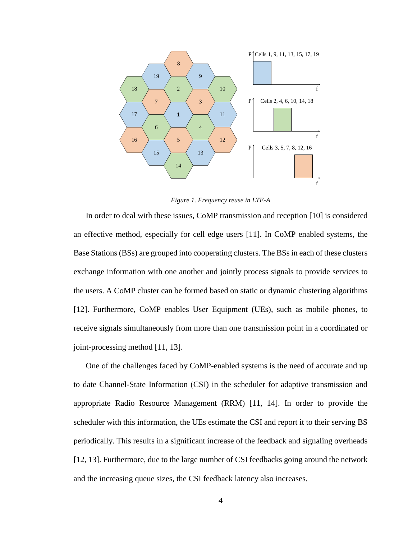

*Figure 1. Frequency reuse in LTE-A*

<span id="page-16-0"></span>In order to deal with these issues, CoMP transmission and reception [10] is considered an effective method, especially for cell edge users [11]. In CoMP enabled systems, the Base Stations (BSs) are grouped into cooperating clusters. The BSs in each of these clusters exchange information with one another and jointly process signals to provide services to the users. A CoMP cluster can be formed based on static or dynamic clustering algorithms [12]. Furthermore, CoMP enables User Equipment (UEs), such as mobile phones, to receive signals simultaneously from more than one transmission point in a coordinated or joint-processing method [11, 13].

One of the challenges faced by CoMP-enabled systems is the need of accurate and up to date Channel-State Information (CSI) in the scheduler for adaptive transmission and appropriate Radio Resource Management (RRM) [11, 14]. In order to provide the scheduler with this information, the UEs estimate the CSI and report it to their serving BS periodically. This results in a significant increase of the feedback and signaling overheads [12, 13]. Furthermore, due to the large number of CSI feedbacks going around the network and the increasing queue sizes, the CSI feedback latency also increases.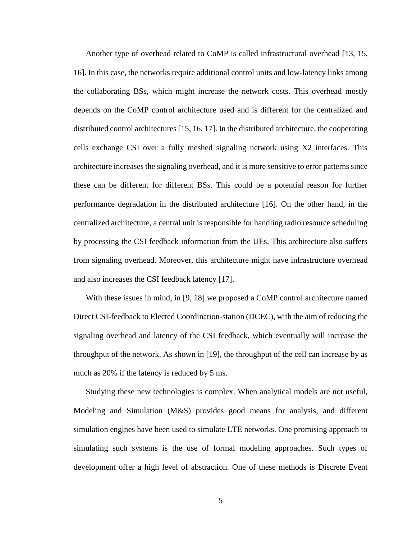Another type of overhead related to CoMP is called infrastructural overhead [13, 15, 16]. In this case, the networks require additional control units and low-latency links among the collaborating BSs, which might increase the network costs. This overhead mostly depends on the CoMP control architecture used and is different for the centralized and distributed control architectures [15, 16, 17]. In the distributed architecture, the cooperating cells exchange CSI over a fully meshed signaling network using X2 interfaces. This architecture increases the signaling overhead, and it is more sensitive to error patterns since these can be different for different BSs. This could be a potential reason for further performance degradation in the distributed architecture [16]. On the other hand, in the centralized architecture, a central unit is responsible for handling radio resource scheduling by processing the CSI feedback information from the UEs. This architecture also suffers from signaling overhead. Moreover, this architecture might have infrastructure overhead and also increases the CSI feedback latency [17].

With these issues in mind, in [9, 18] we proposed a CoMP control architecture named Direct CSI-feedback to Elected Coordination-station (DCEC), with the aim of reducing the signaling overhead and latency of the CSI feedback, which eventually will increase the throughput of the network. As shown in [19], the throughput of the cell can increase by as much as 20% if the latency is reduced by 5 ms.

Studying these new technologies is complex. When analytical models are not useful, Modeling and Simulation (M&S) provides good means for analysis, and different simulation engines have been used to simulate LTE networks. One promising approach to simulating such systems is the use of formal modeling approaches. Such types of development offer a high level of abstraction. One of these methods is Discrete Event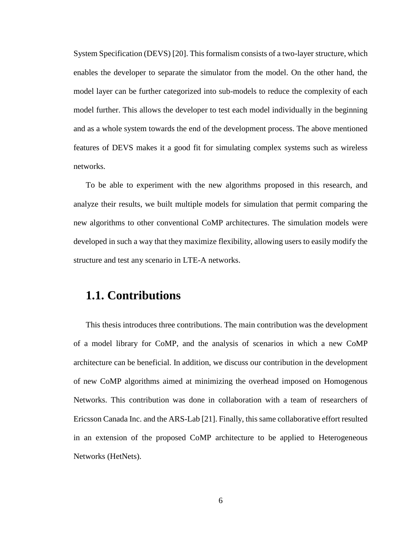System Specification (DEVS) [20]. This formalism consists of a two-layer structure, which enables the developer to separate the simulator from the model. On the other hand, the model layer can be further categorized into sub-models to reduce the complexity of each model further. This allows the developer to test each model individually in the beginning and as a whole system towards the end of the development process. The above mentioned features of DEVS makes it a good fit for simulating complex systems such as wireless networks.

To be able to experiment with the new algorithms proposed in this research, and analyze their results, we built multiple models for simulation that permit comparing the new algorithms to other conventional CoMP architectures. The simulation models were developed in such a way that they maximize flexibility, allowing users to easily modify the structure and test any scenario in LTE-A networks.

#### <span id="page-18-0"></span>**1.1. Contributions**

This thesis introduces three contributions. The main contribution was the development of a model library for CoMP, and the analysis of scenarios in which a new CoMP architecture can be beneficial. In addition, we discuss our contribution in the development of new CoMP algorithms aimed at minimizing the overhead imposed on Homogenous Networks. This contribution was done in collaboration with a team of researchers of Ericsson Canada Inc. and the ARS-Lab [21]. Finally, this same collaborative effort resulted in an extension of the proposed CoMP architecture to be applied to Heterogeneous Networks (HetNets).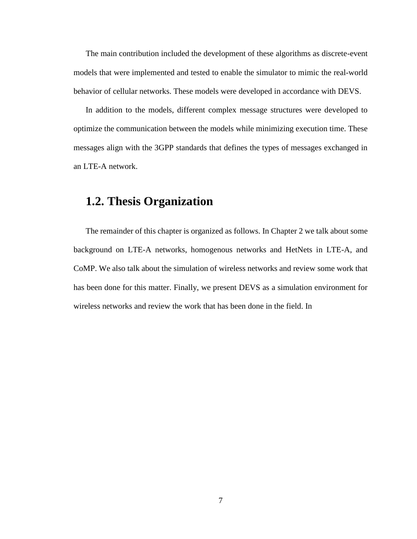The main contribution included the development of these algorithms as discrete-event models that were implemented and tested to enable the simulator to mimic the real-world behavior of cellular networks. These models were developed in accordance with DEVS.

In addition to the models, different complex message structures were developed to optimize the communication between the models while minimizing execution time. These messages align with the 3GPP standards that defines the types of messages exchanged in an LTE-A network.

#### <span id="page-19-0"></span>**1.2. Thesis Organization**

The remainder of this chapter is organized as follows. In [Chapter 2](#page-22-0) we talk about some background on LTE-A networks, homogenous networks and HetNets in LTE-A, and CoMP. We also talk about the simulation of wireless networks and review some work that has been done for this matter. Finally, we present DEVS as a simulation environment for wireless networks and review the work that has been done in the field. In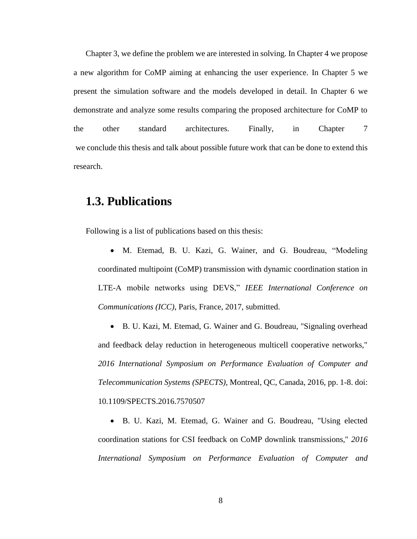[Chapter 3,](#page-42-0) we define the problem we are interested in solving. In [Chapter 4](#page-46-0) we propose a new algorithm for CoMP aiming at enhancing the user experience. In [Chapter 5](#page-56-0) we present the simulation software and the models developed in detail. In [Chapter 6](#page-79-0) we demonstrate and analyze some results comparing the proposed architecture for CoMP to the other standard architectures. Finally, in [Chapter 7](#page-99-0) we conclude this thesis and talk about possible future work that can be done to extend this research.

#### <span id="page-20-0"></span>**1.3. Publications**

Following is a list of publications based on this thesis:

- M. Etemad, B. U. Kazi, G. Wainer, and G. Boudreau, "Modeling coordinated multipoint (CoMP) transmission with dynamic coordination station in LTE-A mobile networks using DEVS," *IEEE International Conference on Communications (ICC)*, Paris, France, 2017, submitted.
- B. U. Kazi, M. Etemad, G. Wainer and G. Boudreau, "Signaling overhead and feedback delay reduction in heterogeneous multicell cooperative networks," *2016 International Symposium on Performance Evaluation of Computer and Telecommunication Systems (SPECTS)*, Montreal, QC, Canada, 2016, pp. 1-8. doi: 10.1109/SPECTS.2016.7570507

 B. U. Kazi, M. Etemad, G. Wainer and G. Boudreau, "Using elected coordination stations for CSI feedback on CoMP downlink transmissions," *2016 International Symposium on Performance Evaluation of Computer and*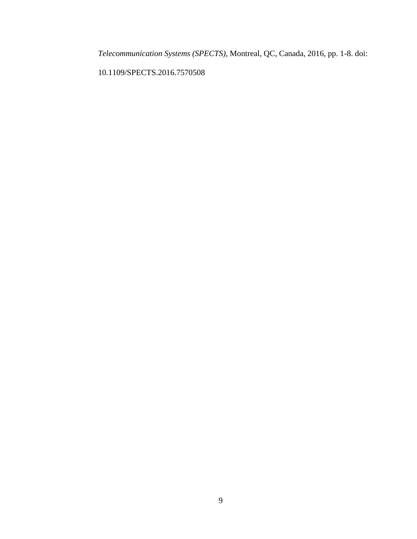*Telecommunication Systems (SPECTS)*, Montreal, QC, Canada, 2016, pp. 1-8. doi:

10.1109/SPECTS.2016.7570508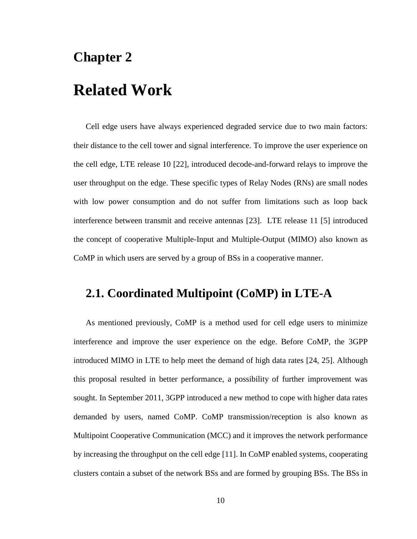### <span id="page-22-0"></span>**Chapter 2**

### **Related Work**

Cell edge users have always experienced degraded service due to two main factors: their distance to the cell tower and signal interference. To improve the user experience on the cell edge, LTE release 10 [22], introduced decode-and-forward relays to improve the user throughput on the edge. These specific types of Relay Nodes (RNs) are small nodes with low power consumption and do not suffer from limitations such as loop back interference between transmit and receive antennas [23]. LTE release 11 [5] introduced the concept of cooperative Multiple-Input and Multiple-Output (MIMO) also known as CoMP in which users are served by a group of BSs in a cooperative manner.

#### <span id="page-22-1"></span>**2.1. Coordinated Multipoint (CoMP) in LTE-A**

As mentioned previously, CoMP is a method used for cell edge users to minimize interference and improve the user experience on the edge. Before CoMP, the 3GPP introduced MIMO in LTE to help meet the demand of high data rates [24, 25]. Although this proposal resulted in better performance, a possibility of further improvement was sought. In September 2011, 3GPP introduced a new method to cope with higher data rates demanded by users, named CoMP. CoMP transmission/reception is also known as Multipoint Cooperative Communication (MCC) and it improves the network performance by increasing the throughput on the cell edge [11]. In CoMP enabled systems, cooperating clusters contain a subset of the network BSs and are formed by grouping BSs. The BSs in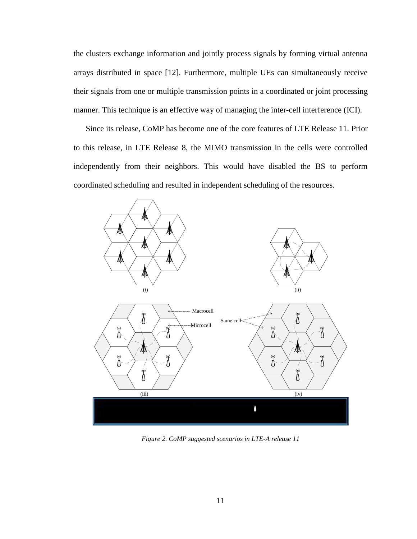the clusters exchange information and jointly process signals by forming virtual antenna arrays distributed in space [12]. Furthermore, multiple UEs can simultaneously receive their signals from one or multiple transmission points in a coordinated or joint processing manner. This technique is an effective way of managing the inter-cell interference (ICI).

Since its release, CoMP has become one of the core features of LTE Release 11. Prior to this release, in LTE Release 8, the MIMO transmission in the cells were controlled independently from their neighbors. This would have disabled the BS to perform coordinated scheduling and resulted in independent scheduling of the resources.



<span id="page-23-0"></span>*Figure 2. CoMP suggested scenarios in LTE-A release 11*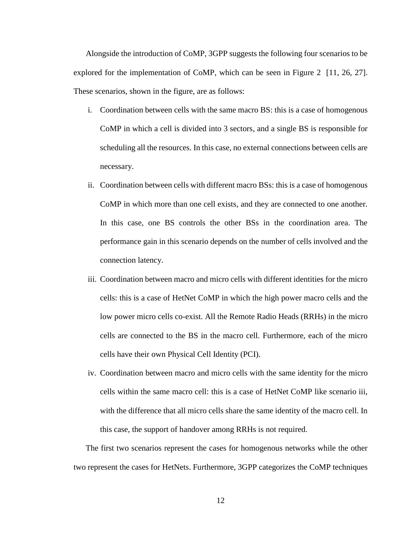Alongside the introduction of CoMP, 3GPP suggests the following four scenarios to be explored for the implementation of CoMP, which can be seen in [Figure 2](#page-23-0) [11, 26, 27]. These scenarios, shown in the figure, are as follows:

- i. Coordination between cells with the same macro BS: this is a case of homogenous CoMP in which a cell is divided into 3 sectors, and a single BS is responsible for scheduling all the resources. In this case, no external connections between cells are necessary.
- ii. Coordination between cells with different macro BSs: this is a case of homogenous CoMP in which more than one cell exists, and they are connected to one another. In this case, one BS controls the other BSs in the coordination area. The performance gain in this scenario depends on the number of cells involved and the connection latency.
- iii. Coordination between macro and micro cells with different identities for the micro cells: this is a case of HetNet CoMP in which the high power macro cells and the low power micro cells co-exist. All the Remote Radio Heads (RRHs) in the micro cells are connected to the BS in the macro cell. Furthermore, each of the micro cells have their own Physical Cell Identity (PCI).
- iv. Coordination between macro and micro cells with the same identity for the micro cells within the same macro cell: this is a case of HetNet CoMP like scenario iii, with the difference that all micro cells share the same identity of the macro cell. In this case, the support of handover among RRHs is not required.

The first two scenarios represent the cases for homogenous networks while the other two represent the cases for HetNets. Furthermore, 3GPP categorizes the CoMP techniques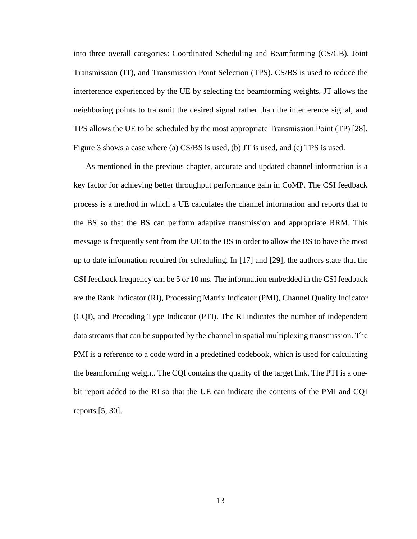into three overall categories: Coordinated Scheduling and Beamforming (CS/CB), Joint Transmission (JT), and Transmission Point Selection (TPS). CS/BS is used to reduce the interference experienced by the UE by selecting the beamforming weights, JT allows the neighboring points to transmit the desired signal rather than the interference signal, and TPS allows the UE to be scheduled by the most appropriate Transmission Point (TP) [28]. [Figure 3](#page-26-0) shows a case where (a) CS/BS is used, (b) JT is used, and (c) TPS is used.

As mentioned in the previous chapter, accurate and updated channel information is a key factor for achieving better throughput performance gain in CoMP. The CSI feedback process is a method in which a UE calculates the channel information and reports that to the BS so that the BS can perform adaptive transmission and appropriate RRM. This message is frequently sent from the UE to the BS in order to allow the BS to have the most up to date information required for scheduling. In [17] and [29], the authors state that the CSI feedback frequency can be 5 or 10 ms. The information embedded in the CSI feedback are the Rank Indicator (RI), Processing Matrix Indicator (PMI), Channel Quality Indicator (CQI), and Precoding Type Indicator (PTI). The RI indicates the number of independent data streams that can be supported by the channel in spatial multiplexing transmission. The PMI is a reference to a code word in a predefined codebook, which is used for calculating the beamforming weight. The CQI contains the quality of the target link. The PTI is a onebit report added to the RI so that the UE can indicate the contents of the PMI and CQI reports [5, 30].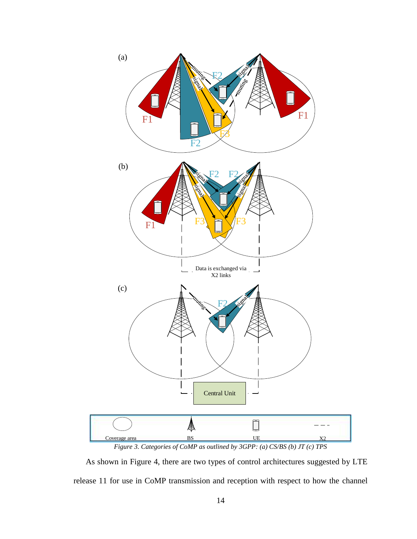

<span id="page-26-0"></span>As shown in [Figure 4,](#page-27-0) there are two types of control architectures suggested by LTE release 11 for use in CoMP transmission and reception with respect to how the channel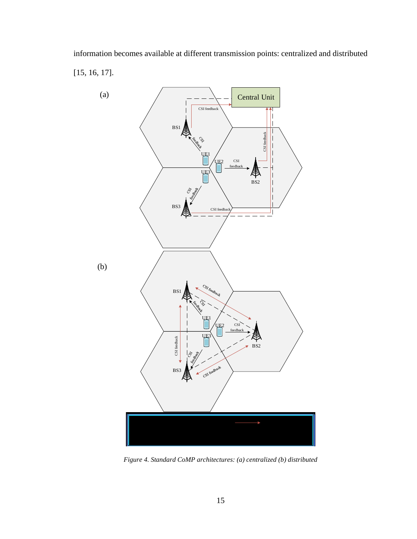information becomes available at different transmission points: centralized and distributed [15, 16, 17].



<span id="page-27-0"></span>*Figure 4. Standard CoMP architectures: (a) centralized (b) distributed*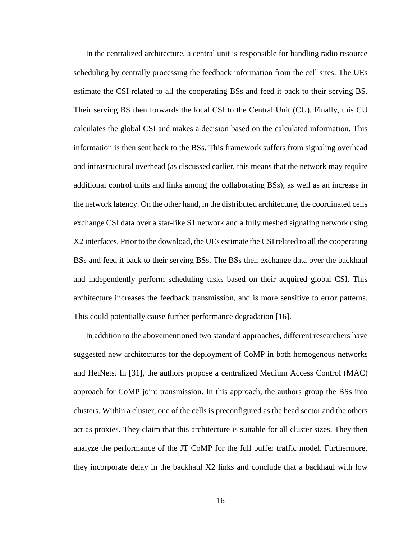In the centralized architecture, a central unit is responsible for handling radio resource scheduling by centrally processing the feedback information from the cell sites. The UEs estimate the CSI related to all the cooperating BSs and feed it back to their serving BS. Their serving BS then forwards the local CSI to the Central Unit (CU). Finally, this CU calculates the global CSI and makes a decision based on the calculated information. This information is then sent back to the BSs. This framework suffers from signaling overhead and infrastructural overhead (as discussed earlier, this means that the network may require additional control units and links among the collaborating BSs), as well as an increase in the network latency. On the other hand, in the distributed architecture, the coordinated cells exchange CSI data over a star-like S1 network and a fully meshed signaling network using X2 interfaces. Prior to the download, the UEs estimate the CSI related to all the cooperating BSs and feed it back to their serving BSs. The BSs then exchange data over the backhaul and independently perform scheduling tasks based on their acquired global CSI. This architecture increases the feedback transmission, and is more sensitive to error patterns. This could potentially cause further performance degradation [16].

In addition to the abovementioned two standard approaches, different researchers have suggested new architectures for the deployment of CoMP in both homogenous networks and HetNets. In [31], the authors propose a centralized Medium Access Control (MAC) approach for CoMP joint transmission. In this approach, the authors group the BSs into clusters. Within a cluster, one of the cells is preconfigured as the head sector and the others act as proxies. They claim that this architecture is suitable for all cluster sizes. They then analyze the performance of the JT CoMP for the full buffer traffic model. Furthermore, they incorporate delay in the backhaul X2 links and conclude that a backhaul with low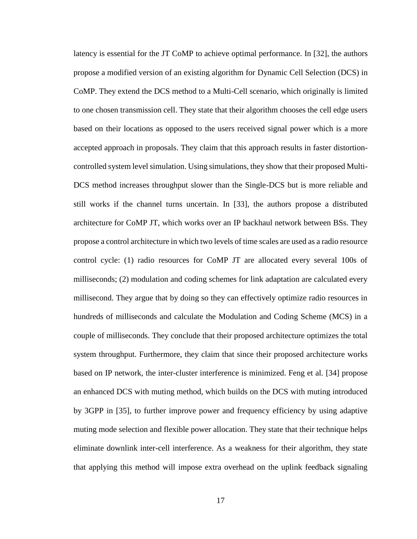latency is essential for the JT CoMP to achieve optimal performance. In [32], the authors propose a modified version of an existing algorithm for Dynamic Cell Selection (DCS) in CoMP. They extend the DCS method to a Multi-Cell scenario, which originally is limited to one chosen transmission cell. They state that their algorithm chooses the cell edge users based on their locations as opposed to the users received signal power which is a more accepted approach in proposals. They claim that this approach results in faster distortioncontrolled system level simulation. Using simulations, they show that their proposed Multi-DCS method increases throughput slower than the Single-DCS but is more reliable and still works if the channel turns uncertain. In [33], the authors propose a distributed architecture for CoMP JT, which works over an IP backhaul network between BSs. They propose a control architecture in which two levels of time scales are used as a radio resource control cycle: (1) radio resources for CoMP JT are allocated every several 100s of milliseconds; (2) modulation and coding schemes for link adaptation are calculated every millisecond. They argue that by doing so they can effectively optimize radio resources in hundreds of milliseconds and calculate the Modulation and Coding Scheme (MCS) in a couple of milliseconds. They conclude that their proposed architecture optimizes the total system throughput. Furthermore, they claim that since their proposed architecture works based on IP network, the inter-cluster interference is minimized. Feng et al. [34] propose an enhanced DCS with muting method, which builds on the DCS with muting introduced by 3GPP in [35], to further improve power and frequency efficiency by using adaptive muting mode selection and flexible power allocation. They state that their technique helps eliminate downlink inter-cell interference. As a weakness for their algorithm, they state that applying this method will impose extra overhead on the uplink feedback signaling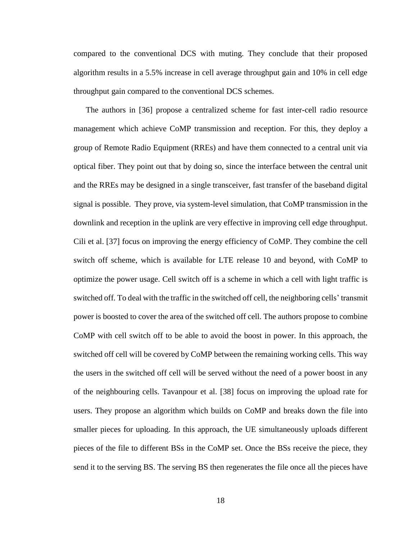compared to the conventional DCS with muting. They conclude that their proposed algorithm results in a 5.5% increase in cell average throughput gain and 10% in cell edge throughput gain compared to the conventional DCS schemes.

The authors in [36] propose a centralized scheme for fast inter-cell radio resource management which achieve CoMP transmission and reception. For this, they deploy a group of Remote Radio Equipment (RREs) and have them connected to a central unit via optical fiber. They point out that by doing so, since the interface between the central unit and the RREs may be designed in a single transceiver, fast transfer of the baseband digital signal is possible. They prove, via system-level simulation, that CoMP transmission in the downlink and reception in the uplink are very effective in improving cell edge throughput. Cili et al. [37] focus on improving the energy efficiency of CoMP. They combine the cell switch off scheme, which is available for LTE release 10 and beyond, with CoMP to optimize the power usage. Cell switch off is a scheme in which a cell with light traffic is switched off. To deal with the traffic in the switched off cell, the neighboring cells' transmit power is boosted to cover the area of the switched off cell. The authors propose to combine CoMP with cell switch off to be able to avoid the boost in power. In this approach, the switched off cell will be covered by CoMP between the remaining working cells. This way the users in the switched off cell will be served without the need of a power boost in any of the neighbouring cells. Tavanpour et al. [38] focus on improving the upload rate for users. They propose an algorithm which builds on CoMP and breaks down the file into smaller pieces for uploading. In this approach, the UE simultaneously uploads different pieces of the file to different BSs in the CoMP set. Once the BSs receive the piece, they send it to the serving BS. The serving BS then regenerates the file once all the pieces have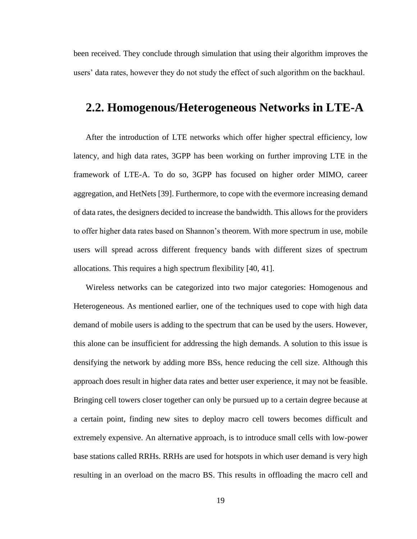been received. They conclude through simulation that using their algorithm improves the users' data rates, however they do not study the effect of such algorithm on the backhaul.

#### <span id="page-31-0"></span>**2.2. Homogenous/Heterogeneous Networks in LTE-A**

After the introduction of LTE networks which offer higher spectral efficiency, low latency, and high data rates, 3GPP has been working on further improving LTE in the framework of LTE-A. To do so, 3GPP has focused on higher order MIMO, career aggregation, and HetNets [39]. Furthermore, to cope with the evermore increasing demand of data rates, the designers decided to increase the bandwidth. This allows for the providers to offer higher data rates based on Shannon's theorem. With more spectrum in use, mobile users will spread across different frequency bands with different sizes of spectrum allocations. This requires a high spectrum flexibility [40, 41].

Wireless networks can be categorized into two major categories: Homogenous and Heterogeneous. As mentioned earlier, one of the techniques used to cope with high data demand of mobile users is adding to the spectrum that can be used by the users. However, this alone can be insufficient for addressing the high demands. A solution to this issue is densifying the network by adding more BSs, hence reducing the cell size. Although this approach does result in higher data rates and better user experience, it may not be feasible. Bringing cell towers closer together can only be pursued up to a certain degree because at a certain point, finding new sites to deploy macro cell towers becomes difficult and extremely expensive. An alternative approach, is to introduce small cells with low-power base stations called RRHs. RRHs are used for hotspots in which user demand is very high resulting in an overload on the macro BS. This results in offloading the macro cell and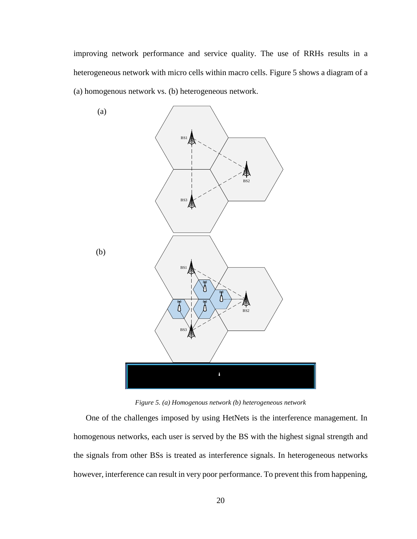improving network performance and service quality. The use of RRHs results in a heterogeneous network with micro cells within macro cells. [Figure 5](#page-32-0) shows a diagram of a (a) homogenous network vs. (b) heterogeneous network.



*Figure 5. (a) Homogenous network (b) heterogeneous network*

<span id="page-32-0"></span>One of the challenges imposed by using HetNets is the interference management. In homogenous networks, each user is served by the BS with the highest signal strength and the signals from other BSs is treated as interference signals. In heterogeneous networks however, interference can result in very poor performance. To prevent this from happening,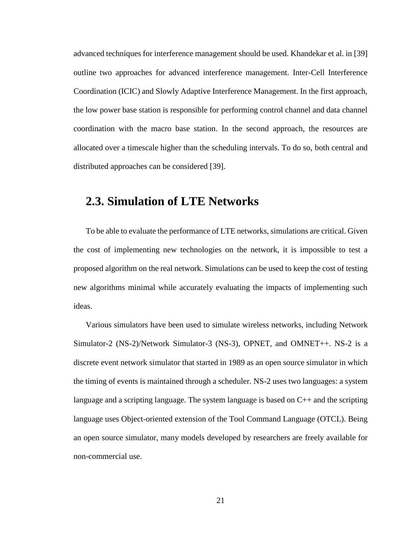advanced techniques for interference management should be used. Khandekar et al. in [39] outline two approaches for advanced interference management. Inter-Cell Interference Coordination (ICIC) and Slowly Adaptive Interference Management. In the first approach, the low power base station is responsible for performing control channel and data channel coordination with the macro base station. In the second approach, the resources are allocated over a timescale higher than the scheduling intervals. To do so, both central and distributed approaches can be considered [39].

#### <span id="page-33-0"></span>**2.3. Simulation of LTE Networks**

To be able to evaluate the performance of LTE networks, simulations are critical. Given the cost of implementing new technologies on the network, it is impossible to test a proposed algorithm on the real network. Simulations can be used to keep the cost of testing new algorithms minimal while accurately evaluating the impacts of implementing such ideas.

Various simulators have been used to simulate wireless networks, including Network Simulator-2 (NS-2)/Network Simulator-3 (NS-3), OPNET, and OMNET++. NS-2 is a discrete event network simulator that started in 1989 as an open source simulator in which the timing of events is maintained through a scheduler. NS-2 uses two languages: a system language and a scripting language. The system language is based on  $C_{++}$  and the scripting language uses Object-oriented extension of the Tool Command Language (OTCL). Being an open source simulator, many models developed by researchers are freely available for non-commercial use.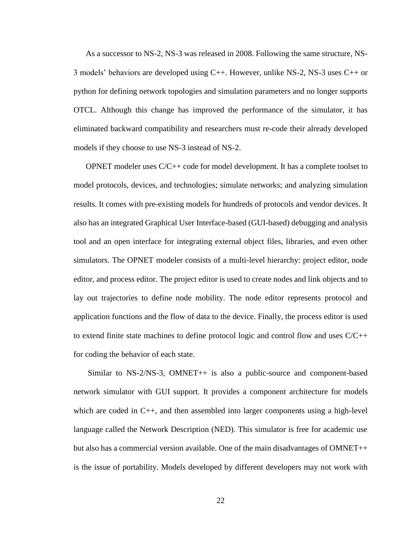As a successor to NS-2, NS-3 was released in 2008. Following the same structure, NS-3 models' behaviors are developed using C++. However, unlike NS-2, NS-3 uses C++ or python for defining network topologies and simulation parameters and no longer supports OTCL. Although this change has improved the performance of the simulator, it has eliminated backward compatibility and researchers must re-code their already developed models if they choose to use NS-3 instead of NS-2.

OPNET modeler uses C/C++ code for model development. It has a complete toolset to model protocols, devices, and technologies; simulate networks; and analyzing simulation results. It comes with pre-existing models for hundreds of protocols and vendor devices. It also has an integrated Graphical User Interface-based (GUI-based) debugging and analysis tool and an open interface for integrating external object files, libraries, and even other simulators. The OPNET modeler consists of a multi-level hierarchy: project editor, node editor, and process editor. The project editor is used to create nodes and link objects and to lay out trajectories to define node mobility. The node editor represents protocol and application functions and the flow of data to the device. Finally, the process editor is used to extend finite state machines to define protocol logic and control flow and uses  $C/C++$ for coding the behavior of each state.

Similar to NS-2/NS-3, OMNET++ is also a public-source and component-based network simulator with GUI support. It provides a component architecture for models which are coded in C++, and then assembled into larger components using a high-level language called the Network Description (NED). This simulator is free for academic use but also has a commercial version available. One of the main disadvantages of OMNET++ is the issue of portability. Models developed by different developers may not work with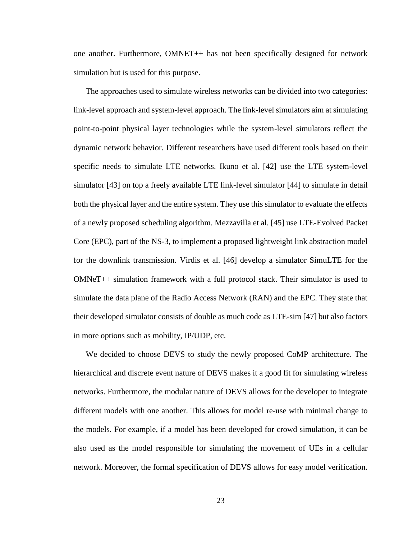one another. Furthermore, OMNET++ has not been specifically designed for network simulation but is used for this purpose.

The approaches used to simulate wireless networks can be divided into two categories: link-level approach and system-level approach. The link-level simulators aim at simulating point-to-point physical layer technologies while the system-level simulators reflect the dynamic network behavior. Different researchers have used different tools based on their specific needs to simulate LTE networks. Ikuno et al. [42] use the LTE system-level simulator [43] on top a freely available LTE link-level simulator [44] to simulate in detail both the physical layer and the entire system. They use this simulator to evaluate the effects of a newly proposed scheduling algorithm. Mezzavilla et al. [45] use LTE-Evolved Packet Core (EPC), part of the NS-3, to implement a proposed lightweight link abstraction model for the downlink transmission. Virdis et al. [46] develop a simulator SimuLTE for the OMNeT++ simulation framework with a full protocol stack. Their simulator is used to simulate the data plane of the Radio Access Network (RAN) and the EPC. They state that their developed simulator consists of double as much code as LTE-sim [47] but also factors in more options such as mobility, IP/UDP, etc.

We decided to choose DEVS to study the newly proposed CoMP architecture. The hierarchical and discrete event nature of DEVS makes it a good fit for simulating wireless networks. Furthermore, the modular nature of DEVS allows for the developer to integrate different models with one another. This allows for model re-use with minimal change to the models. For example, if a model has been developed for crowd simulation, it can be also used as the model responsible for simulating the movement of UEs in a cellular network. Moreover, the formal specification of DEVS allows for easy model verification.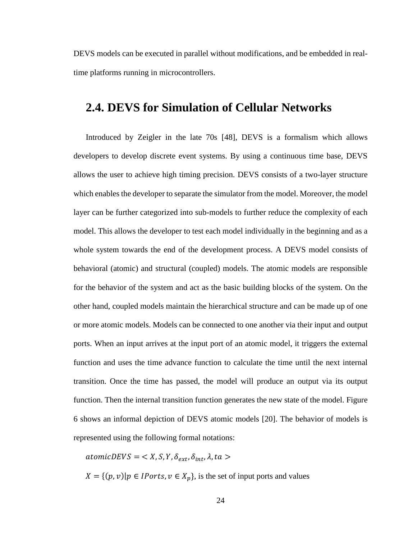DEVS models can be executed in parallel without modifications, and be embedded in realtime platforms running in microcontrollers.

#### <span id="page-36-0"></span>**2.4. DEVS for Simulation of Cellular Networks**

Introduced by Zeigler in the late 70s [48], DEVS is a formalism which allows developers to develop discrete event systems. By using a continuous time base, DEVS allows the user to achieve high timing precision. DEVS consists of a two-layer structure which enables the developer to separate the simulator from the model. Moreover, the model layer can be further categorized into sub-models to further reduce the complexity of each model. This allows the developer to test each model individually in the beginning and as a whole system towards the end of the development process. A DEVS model consists of behavioral (atomic) and structural (coupled) models. The atomic models are responsible for the behavior of the system and act as the basic building blocks of the system. On the other hand, coupled models maintain the hierarchical structure and can be made up of one or more atomic models. Models can be connected to one another via their input and output ports. When an input arrives at the input port of an atomic model, it triggers the external function and uses the time advance function to calculate the time until the next internal transition. Once the time has passed, the model will produce an output via its output function. Then the internal transition function generates the new state of the model. [Figure](#page-37-0)  [6](#page-37-0) shows an informal depiction of DEVS atomic models [20]. The behavior of models is represented using the following formal notations:

 $atomicDEVS = \langle X, S, Y, \delta_{ext}, \delta_{int}, \lambda, ta \rangle$ 

 $X = \{(p, v) | p \in IPorts, v \in X_p\}$ , is the set of input ports and values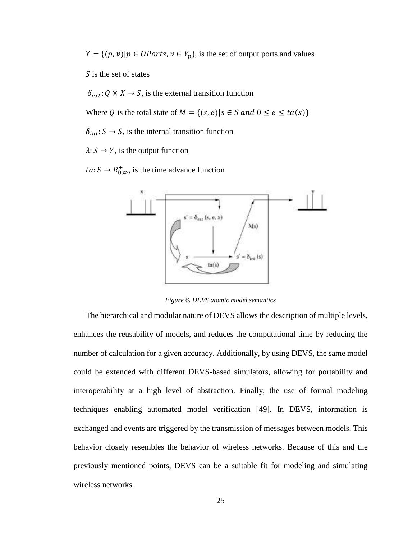$Y = \{(p, v) | p \in \text{OPorts}, v \in Y_p\}$ , is the set of output ports and values

 $\overline{S}$  is the set of states

 $\delta_{ext}$ :  $Q \times X \rightarrow S$ , is the external transition function

Where Q is the total state of  $M = \{(s, e) | s \in S \text{ and } 0 \le e \le ta(s)\}\$ 

 $\delta_{int}$ :  $S \rightarrow S$ , is the internal transition function

 $\lambda: S \to Y$ , is the output function

 $ta: S \rightarrow R_{0,\infty}^{+}$ , is the time advance function



*Figure 6. DEVS atomic model semantics*

<span id="page-37-0"></span>The hierarchical and modular nature of DEVS allows the description of multiple levels, enhances the reusability of models, and reduces the computational time by reducing the number of calculation for a given accuracy. Additionally, by using DEVS, the same model could be extended with different DEVS-based simulators, allowing for portability and interoperability at a high level of abstraction. Finally, the use of formal modeling techniques enabling automated model verification [49]. In DEVS, information is exchanged and events are triggered by the transmission of messages between models. This behavior closely resembles the behavior of wireless networks. Because of this and the previously mentioned points, DEVS can be a suitable fit for modeling and simulating wireless networks.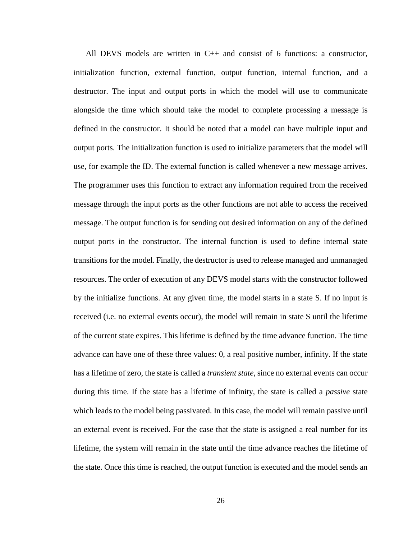All DEVS models are written in  $C_{++}$  and consist of 6 functions: a constructor, initialization function, external function, output function, internal function, and a destructor. The input and output ports in which the model will use to communicate alongside the time which should take the model to complete processing a message is defined in the constructor. It should be noted that a model can have multiple input and output ports. The initialization function is used to initialize parameters that the model will use, for example the ID. The external function is called whenever a new message arrives. The programmer uses this function to extract any information required from the received message through the input ports as the other functions are not able to access the received message. The output function is for sending out desired information on any of the defined output ports in the constructor. The internal function is used to define internal state transitions for the model. Finally, the destructor is used to release managed and unmanaged resources. The order of execution of any DEVS model starts with the constructor followed by the initialize functions. At any given time, the model starts in a state S. If no input is received (i.e. no external events occur), the model will remain in state S until the lifetime of the current state expires. This lifetime is defined by the time advance function. The time advance can have one of these three values: 0, a real positive number, infinity. If the state has a lifetime of zero, the state is called a *transient state*, since no external events can occur during this time. If the state has a lifetime of infinity, the state is called a *passive* state which leads to the model being passivated. In this case, the model will remain passive until an external event is received. For the case that the state is assigned a real number for its lifetime, the system will remain in the state until the time advance reaches the lifetime of the state. Once this time is reached, the output function is executed and the model sends an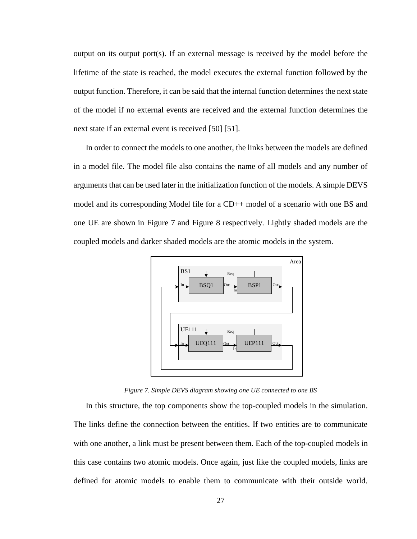output on its output port(s). If an external message is received by the model before the lifetime of the state is reached, the model executes the external function followed by the output function. Therefore, it can be said that the internal function determines the next state of the model if no external events are received and the external function determines the next state if an external event is received [50] [51].

In order to connect the models to one another, the links between the models are defined in a model file. The model file also contains the name of all models and any number of arguments that can be used later in the initialization function of the models. A simple DEVS model and its corresponding Model file for a CD++ model of a scenario with one BS and one UE are shown in [Figure 7](#page-39-0) and [Figure 8](#page-40-0) respectively. Lightly shaded models are the coupled models and darker shaded models are the atomic models in the system.



*Figure 7. Simple DEVS diagram showing one UE connected to one BS*

<span id="page-39-0"></span>In this structure, the top components show the top-coupled models in the simulation. The links define the connection between the entities. If two entities are to communicate with one another, a link must be present between them. Each of the top-coupled models in this case contains two atomic models. Once again, just like the coupled models, links are defined for atomic models to enable them to communicate with their outside world.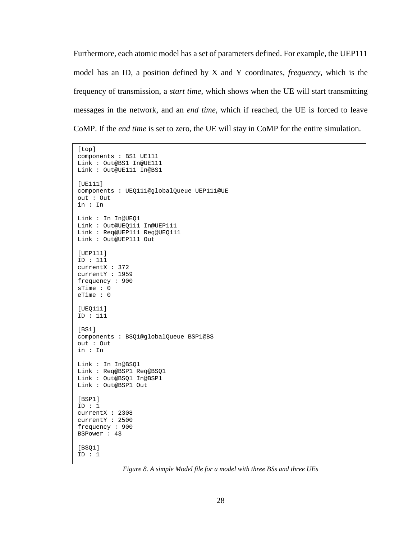Furthermore, each atomic model has a set of parameters defined. For example, the UEP111 model has an ID, a position defined by X and Y coordinates, *frequency,* which is the frequency of transmission, a *start time*, which shows when the UE will start transmitting messages in the network, and an *end time*, which if reached, the UE is forced to leave CoMP. If the *end time* is set to zero, the UE will stay in CoMP for the entire simulation.

```
[top]
components : BS1 UE111
Link : Out@BS1 In@UE111
Link : Out@UE111 In@BS1
[UE111]
components : UEQ111@globalQueue UEP111@UE
out : Out
in : In
Link : In In@UEQ1
Link : Out@UEQ111 In@UEP111
Link : Req@UEP111 Req@UEQ111
Link : Out@UEP111 Out
[UEP111]
ID : 111
currentX : 372
currentY : 1959
frequency : 900
sTime : 0
eTime : 0
[UEQ111]
ID : 111
[BS1]
components : BSQ1@globalQueue BSP1@BS
out : Out
in : In
Link : In In@BSQ1
Link : Req@BSP1 Req@BSQ1
Link : Out@BSQ1 In@BSP1
Link : Out@BSP1 Out
[BSP1]
ID : 1
currentX : 2308
currentY : 2500
frequency : 900
BSPower : 43
[BSO1]
ID : 1
```
<span id="page-40-0"></span>*Figure 8. A simple Model file for a model with three BSs and three UEs*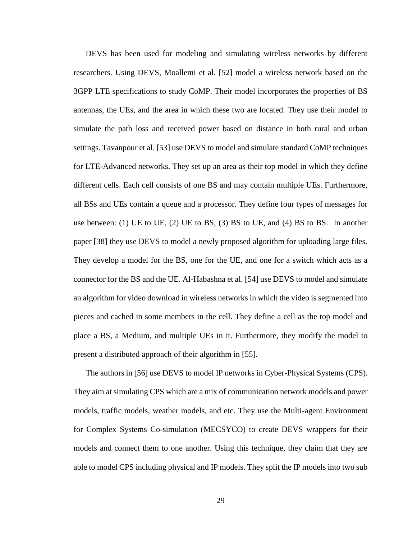DEVS has been used for modeling and simulating wireless networks by different researchers. Using DEVS, Moallemi et al. [52] model a wireless network based on the 3GPP LTE specifications to study CoMP. Their model incorporates the properties of BS antennas, the UEs, and the area in which these two are located. They use their model to simulate the path loss and received power based on distance in both rural and urban settings. Tavanpour et al. [53] use DEVS to model and simulate standard CoMP techniques for LTE-Advanced networks. They set up an area as their top model in which they define different cells. Each cell consists of one BS and may contain multiple UEs. Furthermore, all BSs and UEs contain a queue and a processor. They define four types of messages for use between: (1) UE to UE, (2) UE to BS, (3) BS to UE, and (4) BS to BS. In another paper [38] they use DEVS to model a newly proposed algorithm for uploading large files. They develop a model for the BS, one for the UE, and one for a switch which acts as a connector for the BS and the UE. Al-Habashna et al. [54] use DEVS to model and simulate an algorithm for video download in wireless networks in which the video is segmented into pieces and cached in some members in the cell. They define a cell as the top model and place a BS, a Medium, and multiple UEs in it. Furthermore, they modify the model to present a distributed approach of their algorithm in [55].

The authors in [56] use DEVS to model IP networks in Cyber-Physical Systems (CPS). They aim at simulating CPS which are a mix of communication network models and power models, traffic models, weather models, and etc. They use the Multi-agent Environment for Complex Systems Co-simulation (MECSYCO) to create DEVS wrappers for their models and connect them to one another. Using this technique, they claim that they are able to model CPS including physical and IP models. They split the IP models into two sub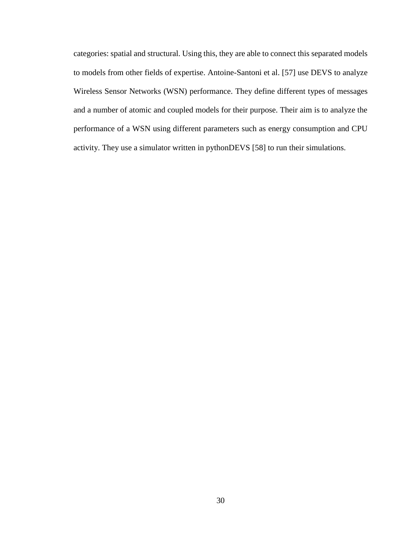categories: spatial and structural. Using this, they are able to connect this separated models to models from other fields of expertise. Antoine-Santoni et al. [57] use DEVS to analyze Wireless Sensor Networks (WSN) performance. They define different types of messages and a number of atomic and coupled models for their purpose. Their aim is to analyze the performance of a WSN using different parameters such as energy consumption and CPU activity. They use a simulator written in pythonDEVS [58] to run their simulations.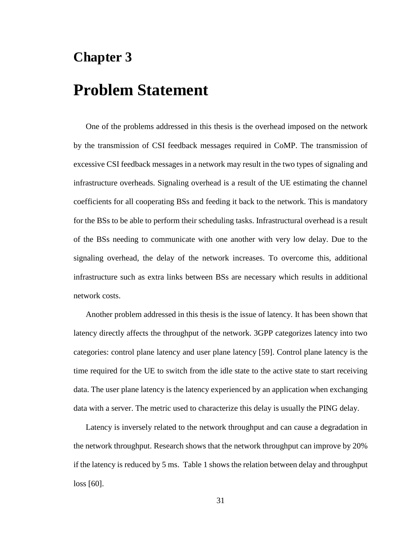## **Chapter 3**

# **Problem Statement**

One of the problems addressed in this thesis is the overhead imposed on the network by the transmission of CSI feedback messages required in CoMP. The transmission of excessive CSI feedback messages in a network may result in the two types of signaling and infrastructure overheads. Signaling overhead is a result of the UE estimating the channel coefficients for all cooperating BSs and feeding it back to the network. This is mandatory for the BSs to be able to perform their scheduling tasks. Infrastructural overhead is a result of the BSs needing to communicate with one another with very low delay. Due to the signaling overhead, the delay of the network increases. To overcome this, additional infrastructure such as extra links between BSs are necessary which results in additional network costs.

Another problem addressed in this thesis is the issue of latency. It has been shown that latency directly affects the throughput of the network. 3GPP categorizes latency into two categories: control plane latency and user plane latency [59]. Control plane latency is the time required for the UE to switch from the idle state to the active state to start receiving data. The user plane latency is the latency experienced by an application when exchanging data with a server. The metric used to characterize this delay is usually the PING delay.

Latency is inversely related to the network throughput and can cause a degradation in the network throughput. Research shows that the network throughput can improve by 20% if the latency is reduced by 5 ms. [Table 1](#page-44-0) shows the relation between delay and throughput loss [60].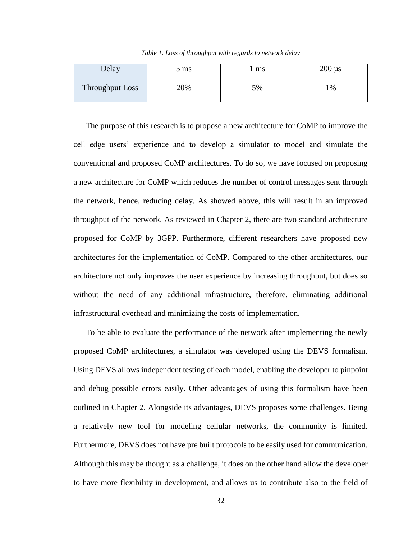*Table 1. Loss of throughput with regards to network delay*

<span id="page-44-0"></span>

| Delay           | $5 \text{ ms}$ | l ms | $200 \mu s$ |
|-----------------|----------------|------|-------------|
| Throughput Loss | 20%            | 5%   | $\%$        |

The purpose of this research is to propose a new architecture for CoMP to improve the cell edge users' experience and to develop a simulator to model and simulate the conventional and proposed CoMP architectures. To do so, we have focused on proposing a new architecture for CoMP which reduces the number of control messages sent through the network, hence, reducing delay. As showed above, this will result in an improved throughput of the network. As reviewed in [Chapter 2,](#page-22-0) there are two standard architecture proposed for CoMP by 3GPP. Furthermore, different researchers have proposed new architectures for the implementation of CoMP. Compared to the other architectures, our architecture not only improves the user experience by increasing throughput, but does so without the need of any additional infrastructure, therefore, eliminating additional infrastructural overhead and minimizing the costs of implementation.

To be able to evaluate the performance of the network after implementing the newly proposed CoMP architectures, a simulator was developed using the DEVS formalism. Using DEVS allows independent testing of each model, enabling the developer to pinpoint and debug possible errors easily. Other advantages of using this formalism have been outlined in [Chapter 2.](#page-22-0) Alongside its advantages, DEVS proposes some challenges. Being a relatively new tool for modeling cellular networks, the community is limited. Furthermore, DEVS does not have pre built protocols to be easily used for communication. Although this may be thought as a challenge, it does on the other hand allow the developer to have more flexibility in development, and allows us to contribute also to the field of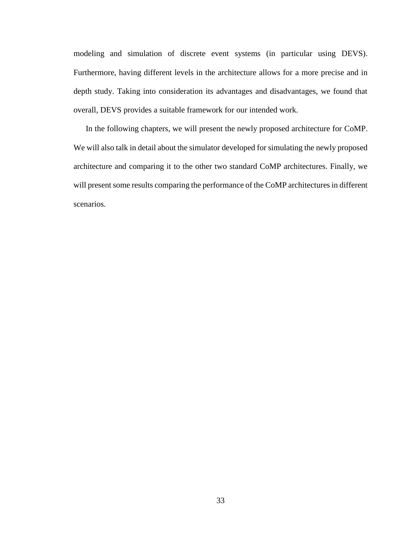modeling and simulation of discrete event systems (in particular using DEVS). Furthermore, having different levels in the architecture allows for a more precise and in depth study. Taking into consideration its advantages and disadvantages, we found that overall, DEVS provides a suitable framework for our intended work.

In the following chapters, we will present the newly proposed architecture for CoMP. We will also talk in detail about the simulator developed for simulating the newly proposed architecture and comparing it to the other two standard CoMP architectures. Finally, we will present some results comparing the performance of the CoMP architectures in different scenarios.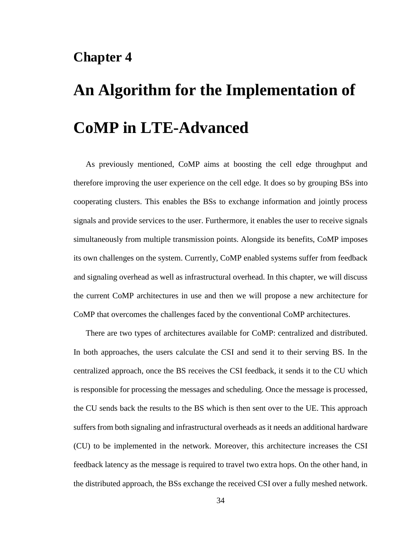## **Chapter 4**

# **An Algorithm for the Implementation of CoMP in LTE-Advanced**

As previously mentioned, CoMP aims at boosting the cell edge throughput and therefore improving the user experience on the cell edge. It does so by grouping BSs into cooperating clusters. This enables the BSs to exchange information and jointly process signals and provide services to the user. Furthermore, it enables the user to receive signals simultaneously from multiple transmission points. Alongside its benefits, CoMP imposes its own challenges on the system. Currently, CoMP enabled systems suffer from feedback and signaling overhead as well as infrastructural overhead. In this chapter, we will discuss the current CoMP architectures in use and then we will propose a new architecture for CoMP that overcomes the challenges faced by the conventional CoMP architectures.

There are two types of architectures available for CoMP: centralized and distributed. In both approaches, the users calculate the CSI and send it to their serving BS. In the centralized approach, once the BS receives the CSI feedback, it sends it to the CU which is responsible for processing the messages and scheduling. Once the message is processed, the CU sends back the results to the BS which is then sent over to the UE. This approach suffers from both signaling and infrastructural overheads as it needs an additional hardware (CU) to be implemented in the network. Moreover, this architecture increases the CSI feedback latency as the message is required to travel two extra hops. On the other hand, in the distributed approach, the BSs exchange the received CSI over a fully meshed network.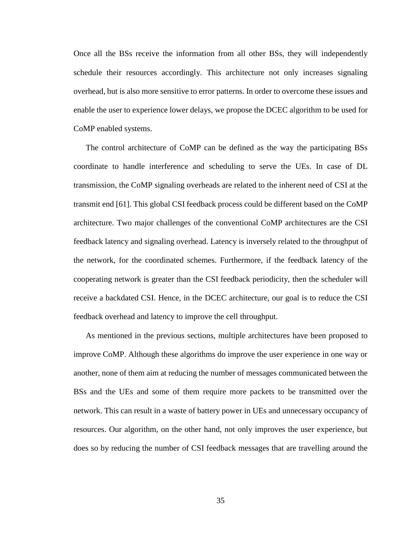Once all the BSs receive the information from all other BSs, they will independently schedule their resources accordingly. This architecture not only increases signaling overhead, but is also more sensitive to error patterns. In order to overcome these issues and enable the user to experience lower delays, we propose the DCEC algorithm to be used for CoMP enabled systems.

The control architecture of CoMP can be defined as the way the participating BSs coordinate to handle interference and scheduling to serve the UEs. In case of DL transmission, the CoMP signaling overheads are related to the inherent need of CSI at the transmit end [61]. This global CSI feedback process could be different based on the CoMP architecture. Two major challenges of the conventional CoMP architectures are the CSI feedback latency and signaling overhead. Latency is inversely related to the throughput of the network, for the coordinated schemes. Furthermore, if the feedback latency of the cooperating network is greater than the CSI feedback periodicity, then the scheduler will receive a backdated CSI. Hence, in the DCEC architecture, our goal is to reduce the CSI feedback overhead and latency to improve the cell throughput.

As mentioned in the previous sections, multiple architectures have been proposed to improve CoMP. Although these algorithms do improve the user experience in one way or another, none of them aim at reducing the number of messages communicated between the BSs and the UEs and some of them require more packets to be transmitted over the network. This can result in a waste of battery power in UEs and unnecessary occupancy of resources. Our algorithm, on the other hand, not only improves the user experience, but does so by reducing the number of CSI feedback messages that are travelling around the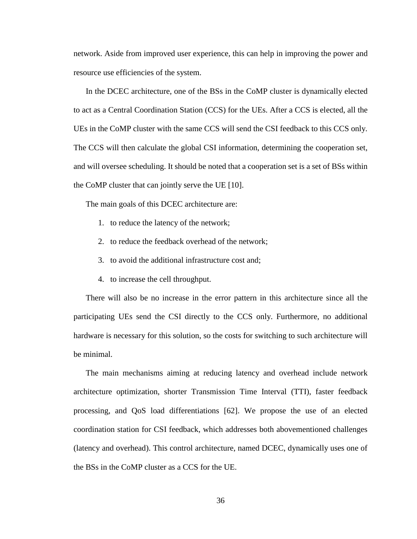network. Aside from improved user experience, this can help in improving the power and resource use efficiencies of the system.

In the DCEC architecture, one of the BSs in the CoMP cluster is dynamically elected to act as a Central Coordination Station (CCS) for the UEs. After a CCS is elected, all the UEs in the CoMP cluster with the same CCS will send the CSI feedback to this CCS only. The CCS will then calculate the global CSI information, determining the cooperation set, and will oversee scheduling. It should be noted that a cooperation set is a set of BSs within the CoMP cluster that can jointly serve the UE [10].

The main goals of this DCEC architecture are:

- 1. to reduce the latency of the network;
- 2. to reduce the feedback overhead of the network;
- 3. to avoid the additional infrastructure cost and;
- 4. to increase the cell throughput.

There will also be no increase in the error pattern in this architecture since all the participating UEs send the CSI directly to the CCS only. Furthermore, no additional hardware is necessary for this solution, so the costs for switching to such architecture will be minimal.

The main mechanisms aiming at reducing latency and overhead include network architecture optimization, shorter Transmission Time Interval (TTI), faster feedback processing, and QoS load differentiations [62]. We propose the use of an elected coordination station for CSI feedback, which addresses both abovementioned challenges (latency and overhead). This control architecture, named DCEC, dynamically uses one of the BSs in the CoMP cluster as a CCS for the UE.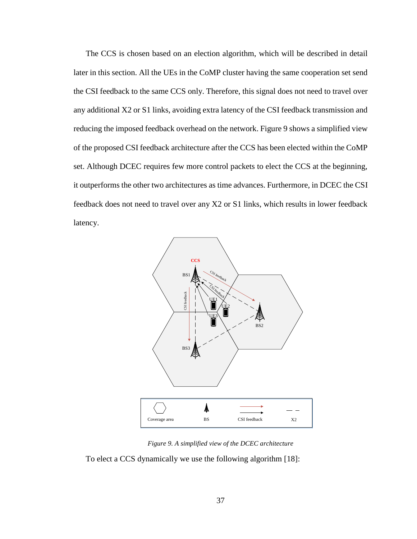The CCS is chosen based on an election algorithm, which will be described in detail later in this section. All the UEs in the CoMP cluster having the same cooperation set send the CSI feedback to the same CCS only. Therefore, this signal does not need to travel over any additional X2 or S1 links, avoiding extra latency of the CSI feedback transmission and reducing the imposed feedback overhead on the network. [Figure 9](#page-49-0) shows a simplified view of the proposed CSI feedback architecture after the CCS has been elected within the CoMP set. Although DCEC requires few more control packets to elect the CCS at the beginning, it outperforms the other two architectures as time advances. Furthermore, in DCEC the CSI feedback does not need to travel over any X2 or S1 links, which results in lower feedback latency.



*Figure 9. A simplified view of the DCEC architecture*

<span id="page-49-0"></span>To elect a CCS dynamically we use the following algorithm [18]: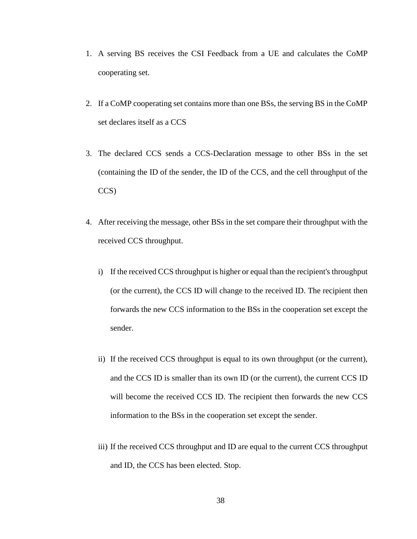- 1. A serving BS receives the CSI Feedback from a UE and calculates the CoMP cooperating set.
- 2. If a CoMP cooperating set contains more than one BSs, the serving BS in the CoMP set declares itself as a CCS
- 3. The declared CCS sends a CCS-Declaration message to other BSs in the set (containing the ID of the sender, the ID of the CCS, and the cell throughput of the CCS)
- 4. After receiving the message, other BSs in the set compare their throughput with the received CCS throughput.
	- i) If the received CCS throughput is higher or equal than the recipient's throughput (or the current), the CCS ID will change to the received ID. The recipient then forwards the new CCS information to the BSs in the cooperation set except the sender.
	- ii) If the received CCS throughput is equal to its own throughput (or the current), and the CCS ID is smaller than its own ID (or the current), the current CCS ID will become the received CCS ID. The recipient then forwards the new CCS information to the BSs in the cooperation set except the sender.
	- iii) If the received CCS throughput and ID are equal to the current CCS throughput and ID, the CCS has been elected. Stop.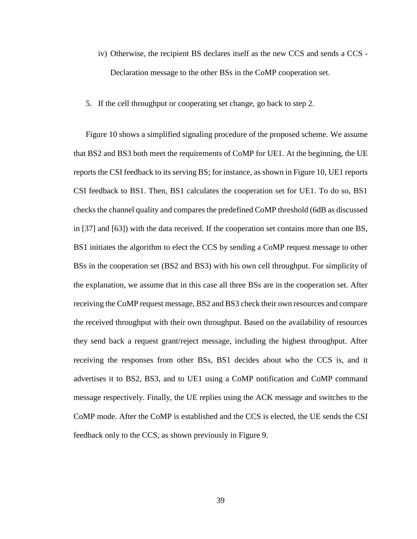- iv) Otherwise, the recipient BS declares itself as the new CCS and sends a CCS Declaration message to the other BSs in the CoMP cooperation set.
- 5. If the cell throughput or cooperating set change, go back to step 2.

[Figure 10](#page-52-0) shows a simplified signaling procedure of the proposed scheme. We assume that BS2 and BS3 both meet the requirements of CoMP for UE1. At the beginning, the UE reports the CSI feedback to its serving BS; for instance, as shown in [Figure 10,](#page-52-0) UE1 reports CSI feedback to BS1. Then, BS1 calculates the cooperation set for UE1. To do so, BS1 checks the channel quality and compares the predefined CoMP threshold (6dB as discussed in [37] and [63]) with the data received. If the cooperation set contains more than one BS, BS1 initiates the algorithm to elect the CCS by sending a CoMP request message to other BSs in the cooperation set (BS2 and BS3) with his own cell throughput. For simplicity of the explanation, we assume that in this case all three BSs are in the cooperation set. After receiving the CoMP request message, BS2 and BS3 check their own resources and compare the received throughput with their own throughput. Based on the availability of resources they send back a request grant/reject message, including the highest throughput. After receiving the responses from other BSs, BS1 decides about who the CCS is, and it advertises it to BS2, BS3, and to UE1 using a CoMP notification and CoMP command message respectively. Finally, the UE replies using the ACK message and switches to the CoMP mode. After the CoMP is established and the CCS is elected, the UE sends the CSI feedback only to the CCS, as shown previously in [Figure 9.](#page-49-0)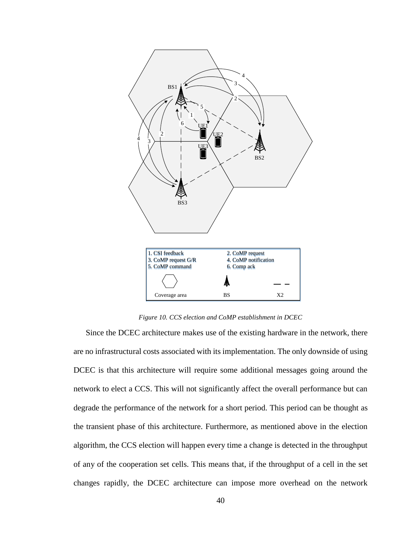

*Figure 10. CCS election and CoMP establishment in DCEC*

<span id="page-52-0"></span>Since the DCEC architecture makes use of the existing hardware in the network, there are no infrastructural costs associated with its implementation. The only downside of using DCEC is that this architecture will require some additional messages going around the network to elect a CCS. This will not significantly affect the overall performance but can degrade the performance of the network for a short period. This period can be thought as the transient phase of this architecture. Furthermore, as mentioned above in the election algorithm, the CCS election will happen every time a change is detected in the throughput of any of the cooperation set cells. This means that, if the throughput of a cell in the set changes rapidly, the DCEC architecture can impose more overhead on the network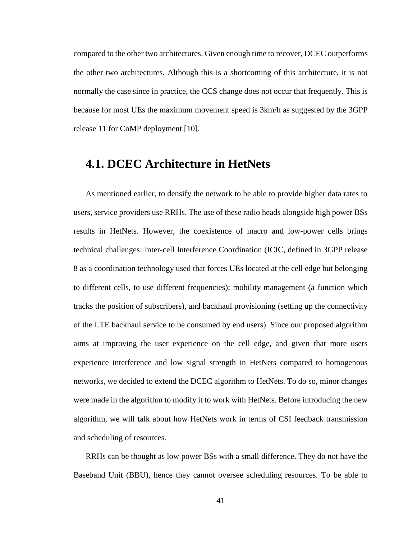compared to the other two architectures. Given enough time to recover, DCEC outperforms the other two architectures. Although this is a shortcoming of this architecture, it is not normally the case since in practice, the CCS change does not occur that frequently. This is because for most UEs the maximum movement speed is 3km/h as suggested by the 3GPP release 11 for CoMP deployment [10].

### **4.1. DCEC Architecture in HetNets**

As mentioned earlier, to densify the network to be able to provide higher data rates to users, service providers use RRHs. The use of these radio heads alongside high power BSs results in HetNets. However, the coexistence of macro and low-power cells brings technical challenges: Inter-cell Interference Coordination (ICIC, defined in 3GPP release 8 as a coordination technology used that forces UEs located at the cell edge but belonging to different cells, to use different frequencies); mobility management (a function which tracks the position of subscribers), and backhaul provisioning (setting up the connectivity of the LTE backhaul service to be consumed by end users). Since our proposed algorithm aims at improving the user experience on the cell edge, and given that more users experience interference and low signal strength in HetNets compared to homogenous networks, we decided to extend the DCEC algorithm to HetNets. To do so, minor changes were made in the algorithm to modify it to work with HetNets. Before introducing the new algorithm, we will talk about how HetNets work in terms of CSI feedback transmission and scheduling of resources.

RRHs can be thought as low power BSs with a small difference. They do not have the Baseband Unit (BBU), hence they cannot oversee scheduling resources. To be able to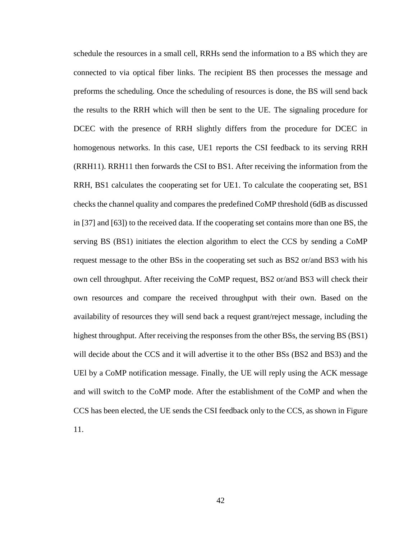schedule the resources in a small cell, RRHs send the information to a BS which they are connected to via optical fiber links. The recipient BS then processes the message and preforms the scheduling. Once the scheduling of resources is done, the BS will send back the results to the RRH which will then be sent to the UE. The signaling procedure for DCEC with the presence of RRH slightly differs from the procedure for DCEC in homogenous networks. In this case, UE1 reports the CSI feedback to its serving RRH (RRH11). RRH11 then forwards the CSI to BS1. After receiving the information from the RRH, BS1 calculates the cooperating set for UE1. To calculate the cooperating set, BS1 checks the channel quality and compares the predefined CoMP threshold (6dB as discussed in [37] and [63]) to the received data. If the cooperating set contains more than one BS, the serving BS (BS1) initiates the election algorithm to elect the CCS by sending a CoMP request message to the other BSs in the cooperating set such as BS2 or/and BS3 with his own cell throughput. After receiving the CoMP request, BS2 or/and BS3 will check their own resources and compare the received throughput with their own. Based on the availability of resources they will send back a request grant/reject message, including the highest throughput. After receiving the responses from the other BSs, the serving BS (BS1) will decide about the CCS and it will advertise it to the other BSs (BS2 and BS3) and the UEl by a CoMP notification message. Finally, the UE will reply using the ACK message and will switch to the CoMP mode. After the establishment of the CoMP and when the CCS has been elected, the UE sends the CSI feedback only to the CCS, as shown in [Figure](#page-55-0)  [11.](#page-55-0)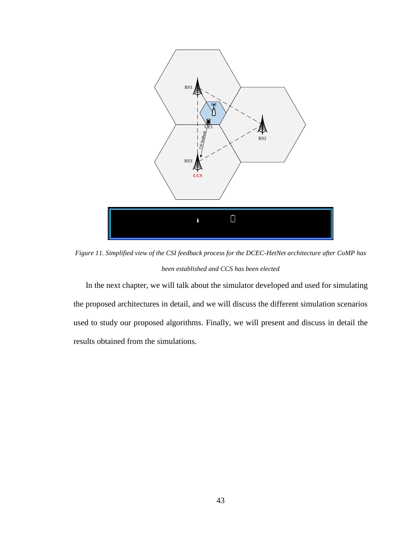

<span id="page-55-0"></span>*Figure 11. Simplified view of the CSI feedback process for the DCEC-HetNet architecture after CoMP has been established and CCS has been elected*

In the next chapter, we will talk about the simulator developed and used for simulating the proposed architectures in detail, and we will discuss the different simulation scenarios used to study our proposed algorithms. Finally, we will present and discuss in detail the results obtained from the simulations.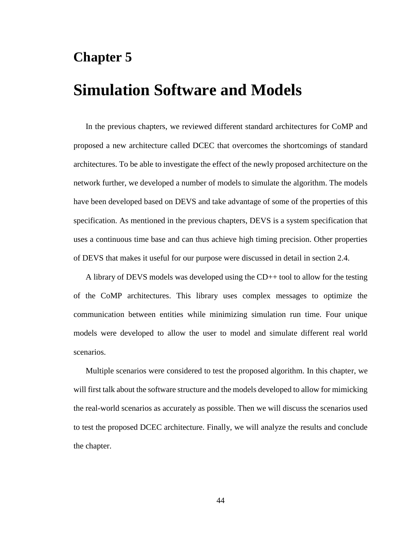## **Chapter 5**

# **Simulation Software and Models**

In the previous chapters, we reviewed different standard architectures for CoMP and proposed a new architecture called DCEC that overcomes the shortcomings of standard architectures. To be able to investigate the effect of the newly proposed architecture on the network further, we developed a number of models to simulate the algorithm. The models have been developed based on DEVS and take advantage of some of the properties of this specification. As mentioned in the previous chapters, DEVS is a system specification that uses a continuous time base and can thus achieve high timing precision. Other properties of DEVS that makes it useful for our purpose were discussed in detail in [section 2.4.](#page-36-0)

A library of DEVS models was developed using the CD++ tool to allow for the testing of the CoMP architectures. This library uses complex messages to optimize the communication between entities while minimizing simulation run time. Four unique models were developed to allow the user to model and simulate different real world scenarios.

Multiple scenarios were considered to test the proposed algorithm. In this chapter, we will first talk about the software structure and the models developed to allow for mimicking the real-world scenarios as accurately as possible. Then we will discuss the scenarios used to test the proposed DCEC architecture. Finally, we will analyze the results and conclude the chapter.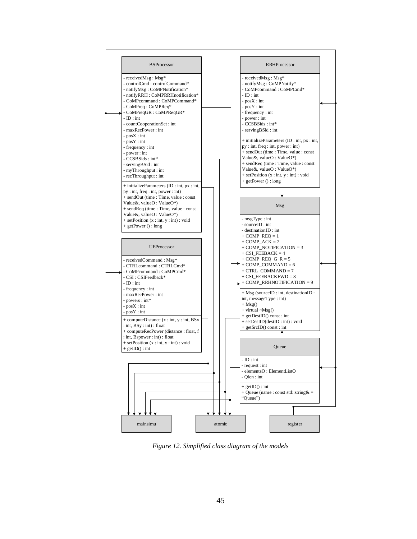

<span id="page-57-0"></span>*Figure 12. Simplified class diagram of the models*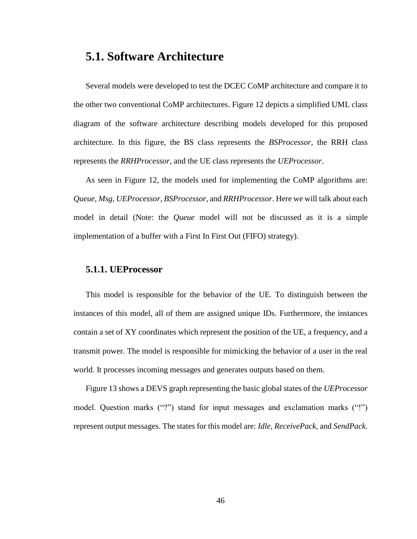#### **5.1. Software Architecture**

Several models were developed to test the DCEC CoMP architecture and compare it to the other two conventional CoMP architectures. [Figure 12](#page-57-0) depicts a simplified UML class diagram of the software architecture describing models developed for this proposed architecture. In this figure, the BS class represents the *BSProcessor*, the RRH class represents the *RRHProcessor*, and the UE class represents the *UEProcessor*.

As seen in [Figure 12,](#page-57-0) the models used for implementing the CoMP algorithms are: *Queue*, *Msg*, *UEProcessor*, *BSProcessor*, and *RRHProcessor*. Here we will talk about each model in detail (Note: the *Queue* model will not be discussed as it is a simple implementation of a buffer with a First In First Out (FIFO) strategy).

#### **5.1.1. UEProcessor**

This model is responsible for the behavior of the UE. To distinguish between the instances of this model, all of them are assigned unique IDs. Furthermore, the instances contain a set of XY coordinates which represent the position of the UE, a frequency, and a transmit power. The model is responsible for mimicking the behavior of a user in the real world. It processes incoming messages and generates outputs based on them.

[Figure 13](#page-59-0) shows a DEVS graph representing the basic global states of the *UEProcessor*  model. Question marks ("?") stand for input messages and exclamation marks ("!") represent output messages. The states for this model are: *Idle, ReceivePack,* and *SendPack*.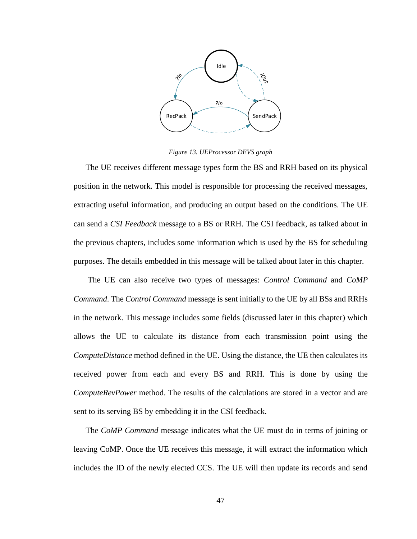

*Figure 13. UEProcessor DEVS graph*

<span id="page-59-0"></span>The UE receives different message types form the BS and RRH based on its physical position in the network. This model is responsible for processing the received messages, extracting useful information, and producing an output based on the conditions. The UE can send a *CSI Feedback* message to a BS or RRH. The CSI feedback, as talked about in the previous chapters, includes some information which is used by the BS for scheduling purposes. The details embedded in this message will be talked about later in this chapter.

Puncess is forms in the control of the control of the control of the control of the control of the control of the control of the control of the control of the 47 The UE can also receive two types of messages: *Control Command* and *CoMP Command*. The *Control Command* message is sent initially to the UE by all BSs and RRHs in the network. This message includes some fields (discussed later in this chapter) which allows the UE to calculate its distance from each transmission point using the *ComputeDistance* method defined in the UE. Using the distance, the UE then calculates its received power from each and every BS and RRH. This is done by using the *ComputeRevPower* method. The results of the calculations are stored in a vector and are sent to its serving BS by embedding it in the CSI feedback.

The *CoMP Command* message indicates what the UE must do in terms of joining or leaving CoMP. Once the UE receives this message, it will extract the information which includes the ID of the newly elected CCS. The UE will then update its records and send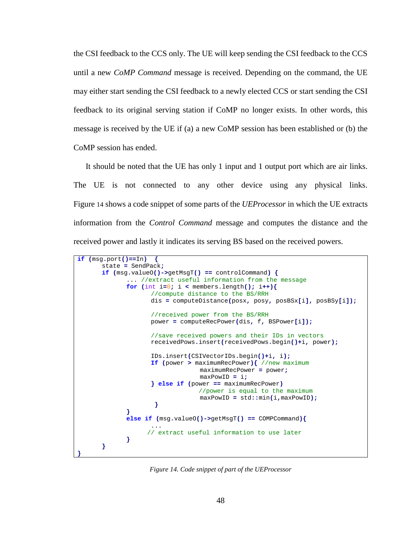the CSI feedback to the CCS only. The UE will keep sending the CSI feedback to the CCS until a new *CoMP Command* message is received. Depending on the command, the UE may either start sending the CSI feedback to a newly elected CCS or start sending the CSI feedback to its original serving station if CoMP no longer exists. In other words, this message is received by the UE if (a) a new CoMP session has been established or (b) the CoMP session has ended.

It should be noted that the UE has only 1 input and 1 output port which are air links. The UE is not connected to any other device using any physical links. [Figure](#page-60-0) 14 shows a code snippet of some parts of the *UEProcessor* in which the UE extracts information from the *Control Command* message and computes the distance and the received power and lastly it indicates its serving BS based on the received powers.

```
if (msg.port()==In) {
      state = SendPack;
      if (msg.valueO()->getMsgT() == controlCommand) {
             ... //extract useful information from the message
             for (int i=0; i < members.length(); i++)//compute distance to the BS/RRH
                    dis = computeDistance(posx, posy, posBSx[i], posBSy[i]);
                    //received power from the BS/RRH
                    power = computeRecPower(dis, f, BSPower[i]);
                    //save received powers and their IDs in vectors
                    receivedPows.insert(receivedPows.begin()+i, power);
                    IDs.insert(CSIVectorIDs.begin()+i, i); 
                    If (power > maximumRecPower){ //new maximum
                                 maximumRecPower = power;
                                 maxPowID = i;
                    } else if (power == maximumRecPower)
                                  //power is equal to the maximum
                                 maxPowID = std::min(i,maxPowID);
                     }
             }
             else if (msg.valueO()->getMsgT() == COMPCommand){
                    ... 
                    // extract useful information to use later
             }
      }
}
```
<span id="page-60-0"></span>*Figure 14. Code snippet of part of the UEProcessor*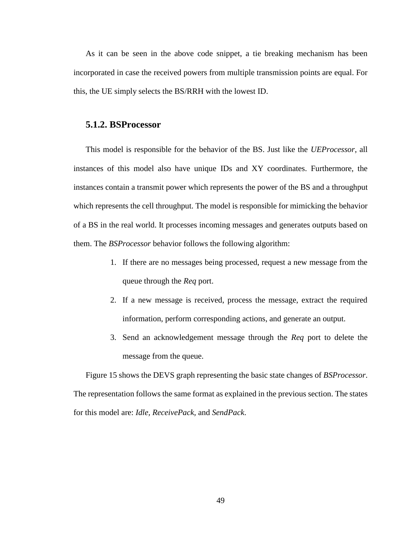As it can be seen in the above code snippet, a tie breaking mechanism has been incorporated in case the received powers from multiple transmission points are equal. For this, the UE simply selects the BS/RRH with the lowest ID.

#### **5.1.2. BSProcessor**

This model is responsible for the behavior of the BS. Just like the *UEProcessor*, all instances of this model also have unique IDs and XY coordinates. Furthermore, the instances contain a transmit power which represents the power of the BS and a throughput which represents the cell throughput. The model is responsible for mimicking the behavior of a BS in the real world. It processes incoming messages and generates outputs based on them. The *BSProcessor* behavior follows the following algorithm:

- 1. If there are no messages being processed, request a new message from the queue through the *Req* port.
- 2. If a new message is received, process the message, extract the required information, perform corresponding actions, and generate an output.
- 3. Send an acknowledgement message through the *Req* port to delete the message from the queue.

[Figure 15](#page-62-0) shows the DEVS graph representing the basic state changes of *BSProcessor*. The representation follows the same format as explained in the previous section. The states for this model are: *Idle, ReceivePack,* and *SendPack*.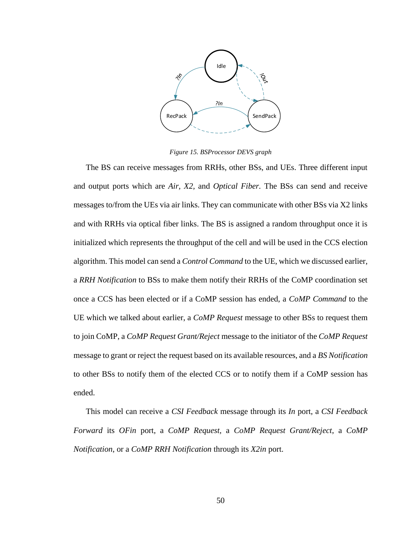

*Figure 15. BSProcessor DEVS graph*

<span id="page-62-0"></span>reserviewer over the control of the control of the control of the control of the control of the control of the control of the control of the control of the control of the control of the control of the control of the contro The BS can receive messages from RRHs, other BSs, and UEs. Three different input and output ports which are *Air, X2,* and *Optical Fiber.* The BSs can send and receive messages to/from the UEs via air links. They can communicate with other BSs via X2 links and with RRHs via optical fiber links. The BS is assigned a random throughput once it is initialized which represents the throughput of the cell and will be used in the CCS election algorithm. This model can send a *Control Command* to the UE, which we discussed earlier, a *RRH Notification* to BSs to make them notify their RRHs of the CoMP coordination set once a CCS has been elected or if a CoMP session has ended, a *CoMP Command* to the UE which we talked about earlier, a *CoMP Request* message to other BSs to request them to join CoMP, a *CoMP Request Grant/Reject* message to the initiator of the *CoMP Request*  message to grant or reject the request based on its available resources, and a *BS Notification* to other BSs to notify them of the elected CCS or to notify them if a CoMP session has ended.

This model can receive a *CSI Feedback* message through its *In* port, a *CSI Feedback Forward* its *OFin* port, a *CoMP Request,* a *CoMP Request Grant/Reject*, a *CoMP Notification*, or a *CoMP RRH Notification* through its *X2in* port.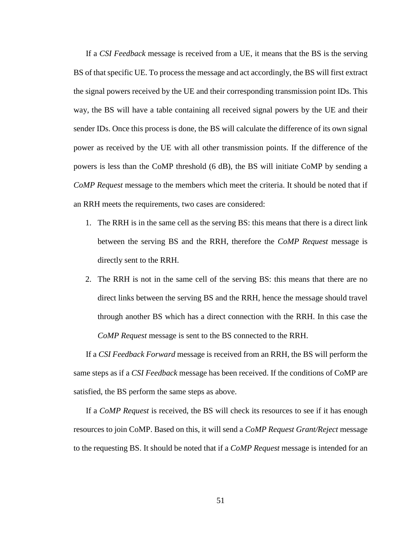If a *CSI Feedback* message is received from a UE, it means that the BS is the serving BS of that specific UE. To process the message and act accordingly, the BS will first extract the signal powers received by the UE and their corresponding transmission point IDs. This way, the BS will have a table containing all received signal powers by the UE and their sender IDs. Once this process is done, the BS will calculate the difference of its own signal power as received by the UE with all other transmission points. If the difference of the powers is less than the CoMP threshold (6 dB), the BS will initiate CoMP by sending a *CoMP Request* message to the members which meet the criteria. It should be noted that if an RRH meets the requirements, two cases are considered:

- 1. The RRH is in the same cell as the serving BS: this means that there is a direct link between the serving BS and the RRH, therefore the *CoMP Request* message is directly sent to the RRH.
- 2. The RRH is not in the same cell of the serving BS: this means that there are no direct links between the serving BS and the RRH, hence the message should travel through another BS which has a direct connection with the RRH. In this case the *CoMP Request* message is sent to the BS connected to the RRH.

If a *CSI Feedback Forward* message is received from an RRH, the BS will perform the same steps as if a *CSI Feedback* message has been received. If the conditions of CoMP are satisfied, the BS perform the same steps as above.

If a *CoMP Request* is received, the BS will check its resources to see if it has enough resources to join CoMP. Based on this, it will send a *CoMP Request Grant/Reject* message to the requesting BS. It should be noted that if a *CoMP Request* message is intended for an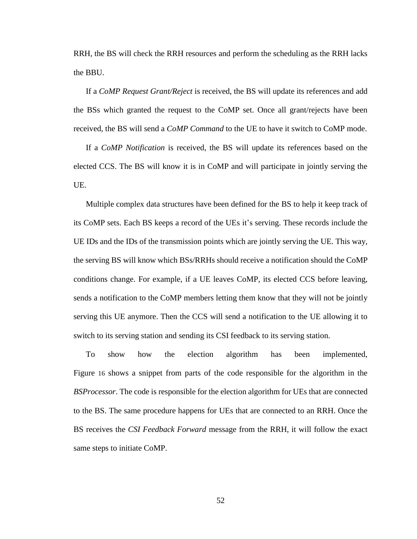RRH, the BS will check the RRH resources and perform the scheduling as the RRH lacks the BBU.

If a *CoMP Request Grant/Reject* is received, the BS will update its references and add the BSs which granted the request to the CoMP set. Once all grant/rejects have been received, the BS will send a *CoMP Command* to the UE to have it switch to CoMP mode.

If a *CoMP Notification* is received, the BS will update its references based on the elected CCS. The BS will know it is in CoMP and will participate in jointly serving the UE.

Multiple complex data structures have been defined for the BS to help it keep track of its CoMP sets. Each BS keeps a record of the UEs it's serving. These records include the UE IDs and the IDs of the transmission points which are jointly serving the UE. This way, the serving BS will know which BSs/RRHs should receive a notification should the CoMP conditions change. For example, if a UE leaves CoMP, its elected CCS before leaving, sends a notification to the CoMP members letting them know that they will not be jointly serving this UE anymore. Then the CCS will send a notification to the UE allowing it to switch to its serving station and sending its CSI feedback to its serving station.

To show how the election algorithm has been implemented, [Figure](#page-65-0) 16 shows a snippet from parts of the code responsible for the algorithm in the *BSProcessor*. The code is responsible for the election algorithm for UEs that are connected to the BS. The same procedure happens for UEs that are connected to an RRH. Once the BS receives the *CSI Feedback Forward* message from the RRH, it will follow the exact same steps to initiate CoMP.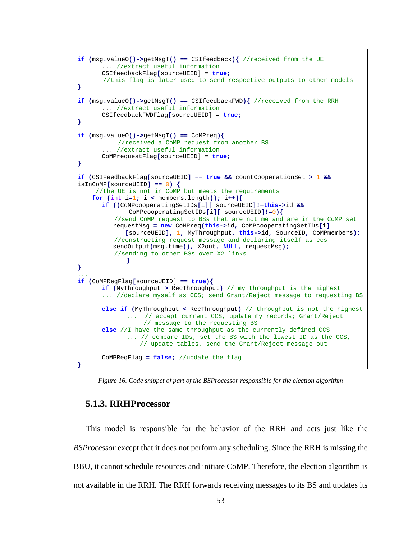```
if (msg.valueO()->getMsgT() == CSIfeedback){ //received from the UE
       ... //extract useful information
      CSIfeedbackFlag[sourceUEID] = true; 
        //this flag is later used to send respective outputs to other models
}
if (msg.valueO()->getMsgT() == CSIfeedbackFWD){ //received from the RRH
      ... //extract useful information
      CSIfeedbackFWDFlag[sourceUEID] = true; 
}
if (msg.valueO()->getMsgT() == CoMPreq){
            //received a CoMP request from another BS
          //extract useful information
      CoMPrequestFlag[sourceUEID] = true; 
}
if (CSIFeedbackFlag[sourceUEID] == true && countCooperationSet > 1 &&
isInCoMP[sourceUEID] == 0) {
      //the UE is not in CoMP but meets the requirements
    for (int i=1; i < members.length(); i++){
      if ((CoMPcooperatingSetIDs[i][ sourceUEID]!=this->id && 
               CoMPcooperatingSetIDs[i][ sourceUEID]!=0){
           //send CoMP request to BSs that are not me and are in the CoMP set 
          requestMsg = new CoMPreq(this->id, CoMPcooperatingSetIDs[i] 
              [sourceUEID], 1, MyThroughput, this->id, SourceID, CoMPmembers); 
           //constructing request message and declaring itself as ccs
          sendOutput(msg.time(), X2out, NULL, requestMsg);
           //sending to other BSs over X2 links
             }
}
...
if (CoMPReqFlag[sourceUEID] == true){
      if (MyThroughput > RecThroughput) // my throughput is the highest
       ... //declare myself as CCS; send Grant/Reject message to requesting BS
      else if (MyThroughput < RecThroughput) // throughput is not the highest
             ... // accept current CCS, update my records; Grant/Reject 
                   // message to the requesting BS
      else //I have the same throughput as the currently defined CCS
             ... // compare IDs, set the BS with the lowest ID as the CCS, 
                  // update tables, send the Grant/Reject message out
      CoMPReqFlag = false; //update the flag
}
```
<span id="page-65-0"></span>*Figure 16. Code snippet of part of the BSProcessor responsible for the election algorithm*

#### **5.1.3. RRHProcessor**

This model is responsible for the behavior of the RRH and acts just like the *BSProcessor* except that it does not perform any scheduling. Since the RRH is missing the BBU, it cannot schedule resources and initiate CoMP. Therefore, the election algorithm is not available in the RRH. The RRH forwards receiving messages to its BS and updates its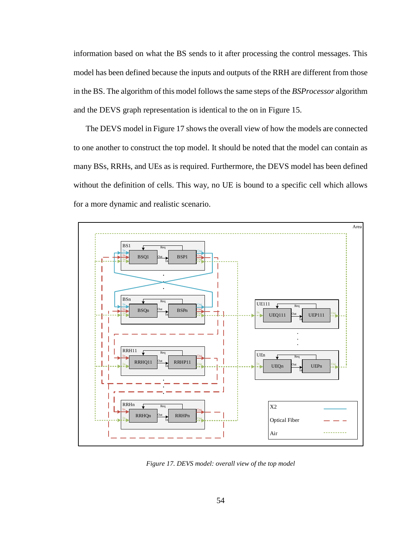information based on what the BS sends to it after processing the control messages. This model has been defined because the inputs and outputs of the RRH are different from those in the BS. The algorithm of this model follows the same steps of the *BSProcessor* algorithm and the DEVS graph representation is identical to the on in [Figure 15.](#page-62-0)

The DEVS model in [Figure 17](#page-66-0) shows the overall view of how the models are connected to one another to construct the top model. It should be noted that the model can contain as many BSs, RRHs, and UEs as is required. Furthermore, the DEVS model has been defined without the definition of cells. This way, no UE is bound to a specific cell which allows for a more dynamic and realistic scenario.



<span id="page-66-0"></span>*Figure 17. DEVS model: overall view of the top model*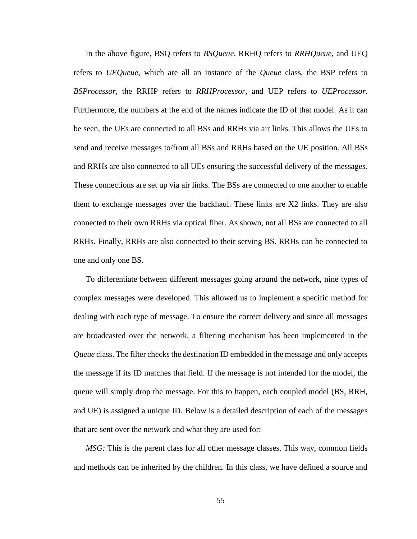In the above figure, BSQ refers to *BSQueue*, RRHQ refers to *RRHQueue*, and UEQ refers to *UEQueue*, which are all an instance of the *Queue* class, the BSP refers to *BSProcessor*, the RRHP refers to *RRHProcessor*, and UEP refers to *UEProcessor*. Furthermore, the numbers at the end of the names indicate the ID of that model. As it can be seen, the UEs are connected to all BSs and RRHs via air links. This allows the UEs to send and receive messages to/from all BSs and RRHs based on the UE position. All BSs and RRHs are also connected to all UEs ensuring the successful delivery of the messages. These connections are set up via air links. The BSs are connected to one another to enable them to exchange messages over the backhaul. These links are X2 links. They are also connected to their own RRHs via optical fiber. As shown, not all BSs are connected to all RRHs. Finally, RRHs are also connected to their serving BS. RRHs can be connected to one and only one BS.

To differentiate between different messages going around the network, nine types of complex messages were developed. This allowed us to implement a specific method for dealing with each type of message. To ensure the correct delivery and since all messages are broadcasted over the network, a filtering mechanism has been implemented in the *Queue* class. The filter checks the destination ID embedded in the message and only accepts the message if its ID matches that field. If the message is not intended for the model, the queue will simply drop the message. For this to happen, each coupled model (BS, RRH, and UE) is assigned a unique ID. Below is a detailed description of each of the messages that are sent over the network and what they are used for:

*MSG:* This is the parent class for all other message classes. This way, common fields and methods can be inherited by the children. In this class, we have defined a source and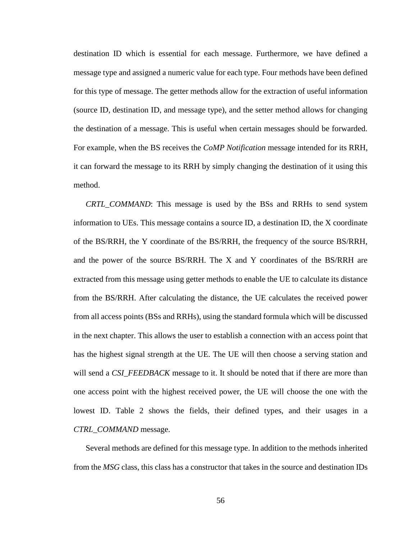destination ID which is essential for each message. Furthermore, we have defined a message type and assigned a numeric value for each type. Four methods have been defined for this type of message. The getter methods allow for the extraction of useful information (source ID, destination ID, and message type), and the setter method allows for changing the destination of a message. This is useful when certain messages should be forwarded. For example, when the BS receives the *CoMP Notification* message intended for its RRH, it can forward the message to its RRH by simply changing the destination of it using this method.

*CRTL\_COMMAND*: This message is used by the BSs and RRHs to send system information to UEs. This message contains a source ID, a destination ID, the X coordinate of the BS/RRH, the Y coordinate of the BS/RRH, the frequency of the source BS/RRH, and the power of the source BS/RRH. The X and Y coordinates of the BS/RRH are extracted from this message using getter methods to enable the UE to calculate its distance from the BS/RRH. After calculating the distance, the UE calculates the received power from all access points (BSs and RRHs), using the standard formula which will be discussed in the next chapter. This allows the user to establish a connection with an access point that has the highest signal strength at the UE. The UE will then choose a serving station and will send a *CSI\_FEEDBACK* message to it. It should be noted that if there are more than one access point with the highest received power, the UE will choose the one with the lowest ID. [Table 2](#page-69-0) shows the fields, their defined types, and their usages in a *CTRL\_COMMAND* message.

Several methods are defined for this message type. In addition to the methods inherited from the *MSG* class, this class has a constructor that takes in the source and destination IDs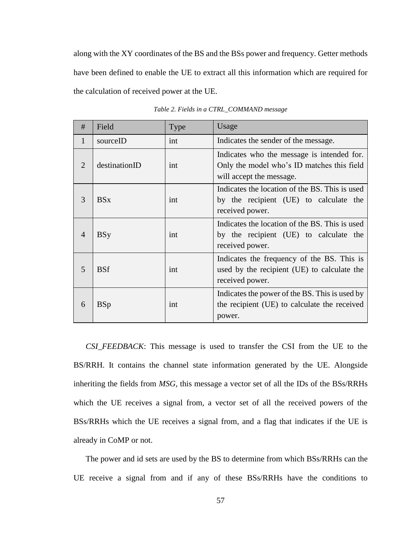along with the XY coordinates of the BS and the BSs power and frequency. Getter methods have been defined to enable the UE to extract all this information which are required for the calculation of received power at the UE.

<span id="page-69-0"></span>

| #              | Field         | Type | Usage                                                                                                                |  |
|----------------|---------------|------|----------------------------------------------------------------------------------------------------------------------|--|
| 1              | sourceID      | int  | Indicates the sender of the message.                                                                                 |  |
| 2              | destinationID | int  | Indicates who the message is intended for.<br>Only the model who's ID matches this field<br>will accept the message. |  |
| $\mathcal{R}$  | <b>BSx</b>    | int  | Indicates the location of the BS. This is used<br>by the recipient (UE) to calculate the<br>received power.          |  |
| $\overline{4}$ | <b>BSy</b>    | int  | Indicates the location of the BS. This is used<br>by the recipient (UE) to calculate the<br>received power.          |  |
| 5              | <b>BSf</b>    | int  | Indicates the frequency of the BS. This is<br>used by the recipient (UE) to calculate the<br>received power.         |  |
| 6              | <b>BSp</b>    | int  | Indicates the power of the BS. This is used by<br>the recipient (UE) to calculate the received<br>power.             |  |

*Table 2. Fields in a CTRL\_COMMAND message* 

*CSI\_FEEDBACK*: This message is used to transfer the CSI from the UE to the BS/RRH. It contains the channel state information generated by the UE. Alongside inheriting the fields from *MSG,* this message a vector set of all the IDs of the BSs/RRHs which the UE receives a signal from, a vector set of all the received powers of the BSs/RRHs which the UE receives a signal from, and a flag that indicates if the UE is already in CoMP or not.

The power and id sets are used by the BS to determine from which BSs/RRHs can the UE receive a signal from and if any of these BSs/RRHs have the conditions to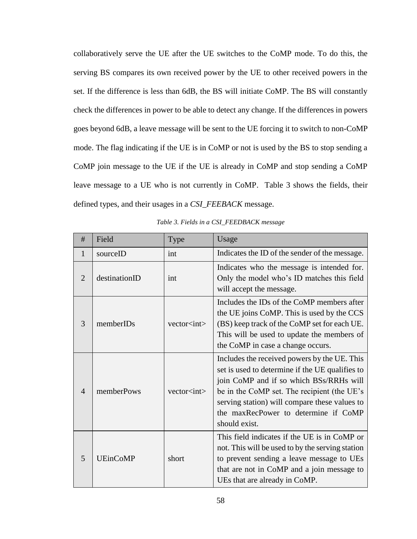collaboratively serve the UE after the UE switches to the CoMP mode. To do this, the serving BS compares its own received power by the UE to other received powers in the set. If the difference is less than 6dB, the BS will initiate CoMP. The BS will constantly check the differences in power to be able to detect any change. If the differences in powers goes beyond 6dB, a leave message will be sent to the UE forcing it to switch to non-CoMP mode. The flag indicating if the UE is in CoMP or not is used by the BS to stop sending a CoMP join message to the UE if the UE is already in CoMP and stop sending a CoMP leave message to a UE who is not currently in CoMP. [Table 3](#page-70-0) shows the fields, their defined types, and their usages in a *CSI\_FEEBACK* message.

<span id="page-70-0"></span>

| #              | Field           | Type               | Usage                                                                                                                                                                                                                                                                                               |  |
|----------------|-----------------|--------------------|-----------------------------------------------------------------------------------------------------------------------------------------------------------------------------------------------------------------------------------------------------------------------------------------------------|--|
| 1              | sourceID        | int                | Indicates the ID of the sender of the message.                                                                                                                                                                                                                                                      |  |
| 2              | destinationID   | int                | Indicates who the message is intended for.<br>Only the model who's ID matches this field<br>will accept the message.                                                                                                                                                                                |  |
| 3              | memberIDs       | vector <int></int> | Includes the IDs of the CoMP members after<br>the UE joins CoMP. This is used by the CCS<br>(BS) keep track of the CoMP set for each UE.<br>This will be used to update the members of<br>the CoMP in case a change occurs.                                                                         |  |
| $\overline{A}$ | memberPows      | vector <int></int> | Includes the received powers by the UE. This<br>set is used to determine if the UE qualifies to<br>join CoMP and if so which BSs/RRHs will<br>be in the CoMP set. The recipient (the UE's<br>serving station) will compare these values to<br>the maxRecPower to determine if CoMP<br>should exist. |  |
| 5              | <b>UEinCoMP</b> | short              | This field indicates if the UE is in CoMP or<br>not. This will be used to by the serving station<br>to prevent sending a leave message to UEs<br>that are not in CoMP and a join message to<br>UEs that are already in CoMP.                                                                        |  |

*Table 3. Fields in a CSI\_FEEDBACK message*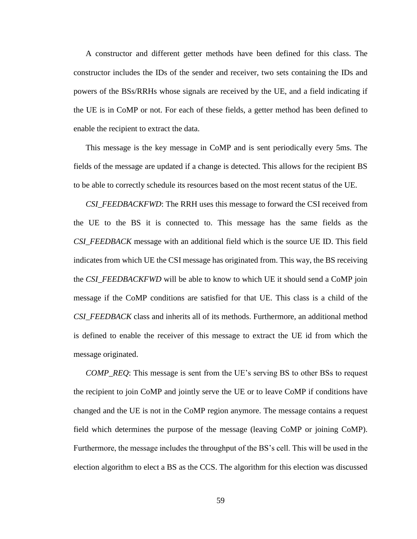A constructor and different getter methods have been defined for this class. The constructor includes the IDs of the sender and receiver, two sets containing the IDs and powers of the BSs/RRHs whose signals are received by the UE, and a field indicating if the UE is in CoMP or not. For each of these fields, a getter method has been defined to enable the recipient to extract the data.

This message is the key message in CoMP and is sent periodically every 5ms. The fields of the message are updated if a change is detected. This allows for the recipient BS to be able to correctly schedule its resources based on the most recent status of the UE.

*CSI\_FEEDBACKFWD*: The RRH uses this message to forward the CSI received from the UE to the BS it is connected to. This message has the same fields as the *CSI\_FEEDBACK* message with an additional field which is the source UE ID. This field indicates from which UE the CSI message has originated from. This way, the BS receiving the *CSI\_FEEDBACKFWD* will be able to know to which UE it should send a CoMP join message if the CoMP conditions are satisfied for that UE. This class is a child of the *CSI\_FEEDBACK* class and inherits all of its methods. Furthermore, an additional method is defined to enable the receiver of this message to extract the UE id from which the message originated.

*COMP\_REQ*: This message is sent from the UE's serving BS to other BSs to request the recipient to join CoMP and jointly serve the UE or to leave CoMP if conditions have changed and the UE is not in the CoMP region anymore. The message contains a request field which determines the purpose of the message (leaving CoMP or joining CoMP). Furthermore, the message includes the throughput of the BS's cell. This will be used in the election algorithm to elect a BS as the CCS. The algorithm for this election was discussed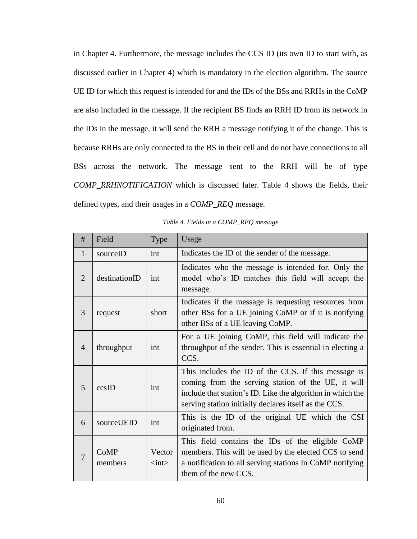in Chapter 4. Furthermore, the message includes the CCS ID (its own ID to start with, as discussed earlier in Chapter 4) which is mandatory in the election algorithm. The source UE ID for which this request is intended for and the IDs of the BSs and RRHs in the CoMP are also included in the message. If the recipient BS finds an RRH ID from its network in the IDs in the message, it will send the RRH a message notifying it of the change. This is because RRHs are only connected to the BS in their cell and do not have connections to all BSs across the network. The message sent to the RRH will be of type *COMP\_RRHNOTIFICATION* which is discussed later. [Table 4](#page-72-0) shows the fields, their defined types, and their usages in a *COMP\_REQ* message.

<span id="page-72-0"></span>

| #              | Field           | Type                                   | Usage                                                                                                                                                                                                                            |
|----------------|-----------------|----------------------------------------|----------------------------------------------------------------------------------------------------------------------------------------------------------------------------------------------------------------------------------|
| 1              | sourceID        | int                                    | Indicates the ID of the sender of the message.                                                                                                                                                                                   |
| $\overline{2}$ | destinationID   | int                                    | Indicates who the message is intended for. Only the<br>model who's ID matches this field will accept the<br>message.                                                                                                             |
| 3              | request         | short                                  | Indicates if the message is requesting resources from<br>other BSs for a UE joining CoMP or if it is notifying<br>other BSs of a UE leaving CoMP.                                                                                |
| $\overline{4}$ | throughput      | int                                    | For a UE joining CoMP, this field will indicate the<br>throughput of the sender. This is essential in electing a<br>CCS.                                                                                                         |
| 5              | ccsID           | int                                    | This includes the ID of the CCS. If this message is<br>coming from the serving station of the UE, it will<br>include that station's ID. Like the algorithm in which the<br>serving station initially declares itself as the CCS. |
| 6              | sourceUEID      | int                                    | This is the ID of the original UE which the CSI<br>originated from.                                                                                                                                                              |
| $\overline{7}$ | CoMP<br>members | Vector<br>$\langle \text{int} \rangle$ | This field contains the IDs of the eligible CoMP<br>members. This will be used by the elected CCS to send<br>a notification to all serving stations in CoMP notifying<br>them of the new CCS.                                    |

*Table 4. Fields in a COMP\_REQ message*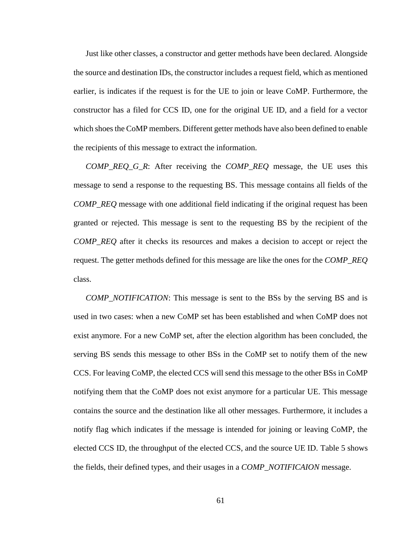Just like other classes, a constructor and getter methods have been declared. Alongside the source and destination IDs, the constructor includes a request field, which as mentioned earlier, is indicates if the request is for the UE to join or leave CoMP. Furthermore, the constructor has a filed for CCS ID, one for the original UE ID, and a field for a vector which shoes the CoMP members. Different getter methods have also been defined to enable the recipients of this message to extract the information.

*COMP\_REQ\_G\_R*: After receiving the *COMP\_REQ* message, the UE uses this message to send a response to the requesting BS. This message contains all fields of the *COMP\_REQ* message with one additional field indicating if the original request has been granted or rejected. This message is sent to the requesting BS by the recipient of the *COMP\_REQ* after it checks its resources and makes a decision to accept or reject the request. The getter methods defined for this message are like the ones for the *COMP\_REQ*  class.

*COMP\_NOTIFICATION*: This message is sent to the BSs by the serving BS and is used in two cases: when a new CoMP set has been established and when CoMP does not exist anymore. For a new CoMP set, after the election algorithm has been concluded, the serving BS sends this message to other BSs in the CoMP set to notify them of the new CCS. For leaving CoMP, the elected CCS will send this message to the other BSs in CoMP notifying them that the CoMP does not exist anymore for a particular UE. This message contains the source and the destination like all other messages. Furthermore, it includes a notify flag which indicates if the message is intended for joining or leaving CoMP, the elected CCS ID, the throughput of the elected CCS, and the source UE ID. [Table 5](#page-74-0) shows the fields, their defined types, and their usages in a *COMP\_NOTIFICAION* message.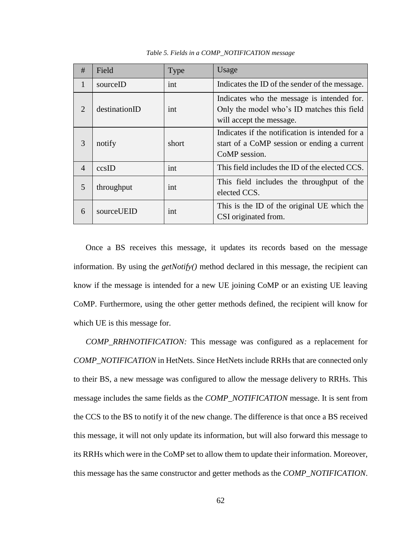<span id="page-74-0"></span>

| #              | Field         | Type  | Usage                                                                                                                |
|----------------|---------------|-------|----------------------------------------------------------------------------------------------------------------------|
| 1              | sourceID      | int   | Indicates the ID of the sender of the message.                                                                       |
| $\overline{2}$ | destinationID | int   | Indicates who the message is intended for.<br>Only the model who's ID matches this field<br>will accept the message. |
| 3              | notify        | short | Indicates if the notification is intended for a<br>start of a CoMP session or ending a current<br>CoMP session.      |
| $\overline{4}$ | ccsID         | int   | This field includes the ID of the elected CCS.                                                                       |
| 5              | throughput    | int   | This field includes the throughput of the<br>elected CCS.                                                            |
| 6              | sourceUEID    | int   | This is the ID of the original UE which the<br>CSI originated from.                                                  |

*Table 5. Fields in a COMP\_NOTIFICATION message* 

Once a BS receives this message, it updates its records based on the message information. By using the *getNotify()* method declared in this message, the recipient can know if the message is intended for a new UE joining CoMP or an existing UE leaving CoMP. Furthermore, using the other getter methods defined, the recipient will know for which UE is this message for.

*COMP\_RRHNOTIFICATION:* This message was configured as a replacement for *COMP\_NOTIFICATION* in HetNets. Since HetNets include RRHs that are connected only to their BS, a new message was configured to allow the message delivery to RRHs. This message includes the same fields as the *COMP\_NOTIFICATION* message. It is sent from the CCS to the BS to notify it of the new change. The difference is that once a BS received this message, it will not only update its information, but will also forward this message to its RRHs which were in the CoMP set to allow them to update their information. Moreover, this message has the same constructor and getter methods as the *COMP\_NOTIFICATION*.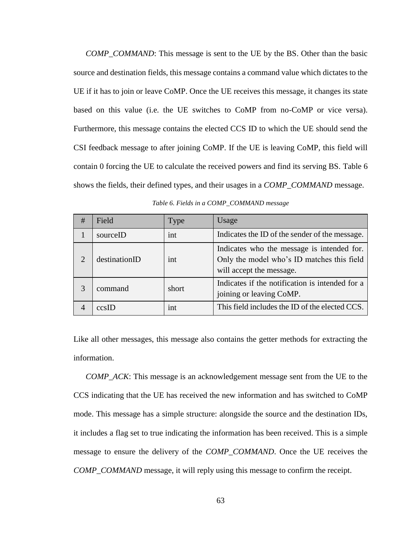*COMP\_COMMAND*: This message is sent to the UE by the BS. Other than the basic source and destination fields, this message contains a command value which dictates to the UE if it has to join or leave CoMP. Once the UE receives this message, it changes its state based on this value (i.e. the UE switches to CoMP from no-CoMP or vice versa). Furthermore, this message contains the elected CCS ID to which the UE should send the CSI feedback message to after joining CoMP. If the UE is leaving CoMP, this field will contain 0 forcing the UE to calculate the received powers and find its serving BS. [Table 6](#page-75-0) shows the fields, their defined types, and their usages in a *COMP\_COMMAND* message.

<span id="page-75-0"></span>

| # | Field         | <b>Type</b> | Usage                                                                                                                |
|---|---------------|-------------|----------------------------------------------------------------------------------------------------------------------|
|   | sourceID      | int         | Indicates the ID of the sender of the message.                                                                       |
| ◠ | destinationID | int         | Indicates who the message is intended for.<br>Only the model who's ID matches this field<br>will accept the message. |
|   | command       | short       | Indicates if the notification is intended for a<br>joining or leaving CoMP.                                          |
|   | $ccs$ ID      | int         | This field includes the ID of the elected CCS.                                                                       |

*Table 6. Fields in a COMP\_COMMAND message* 

Like all other messages, this message also contains the getter methods for extracting the information.

*COMP\_ACK*: This message is an acknowledgement message sent from the UE to the CCS indicating that the UE has received the new information and has switched to CoMP mode. This message has a simple structure: alongside the source and the destination IDs, it includes a flag set to true indicating the information has been received. This is a simple message to ensure the delivery of the *COMP\_COMMAND*. Once the UE receives the *COMP\_COMMAND* message, it will reply using this message to confirm the receipt.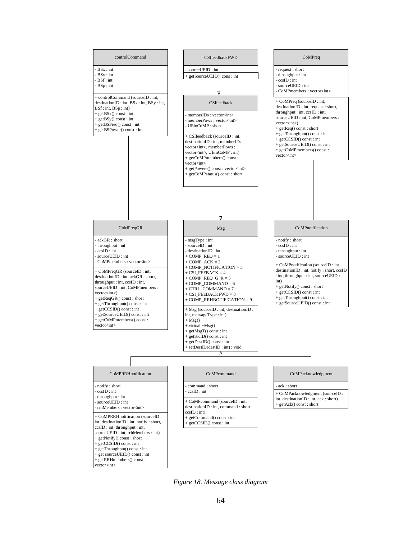

<span id="page-76-0"></span>*Figure 18. Message class diagram*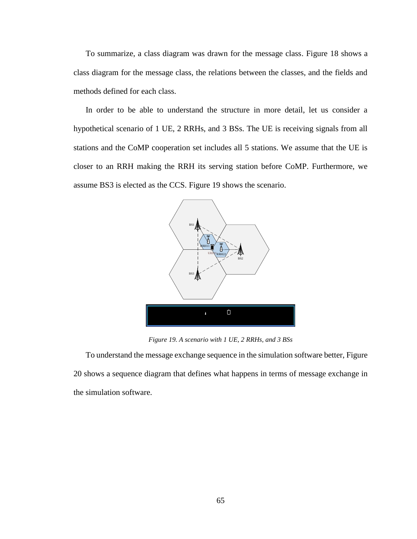To summarize, a class diagram was drawn for the message class. [Figure 18](#page-76-0) shows a class diagram for the message class, the relations between the classes, and the fields and methods defined for each class.

In order to be able to understand the structure in more detail, let us consider a hypothetical scenario of 1 UE, 2 RRHs, and 3 BSs. The UE is receiving signals from all stations and the CoMP cooperation set includes all 5 stations. We assume that the UE is closer to an RRH making the RRH its serving station before CoMP. Furthermore, we assume BS3 is elected as the CCS. [Figure 19](#page-77-0) shows the scenario.



*Figure 19. A scenario with 1 UE, 2 RRHs, and 3 BSs*

<span id="page-77-0"></span>To understand the message exchange sequence in the simulation software better[, Figure](#page-78-0)  [20](#page-78-0) shows a sequence diagram that defines what happens in terms of message exchange in the simulation software.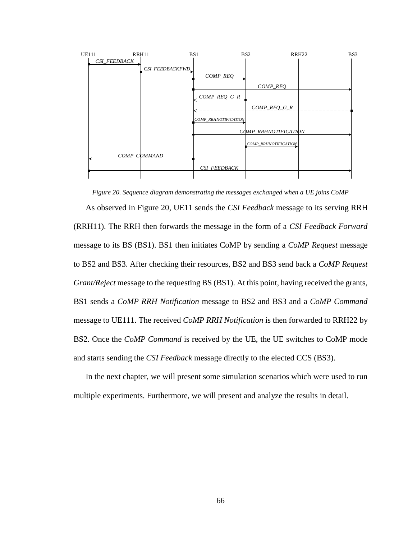

*Figure 20. Sequence diagram demonstrating the messages exchanged when a UE joins CoMP*

<span id="page-78-0"></span>As observed in [Figure 20,](#page-78-0) UE11 sends the *CSI Feedback* message to its serving RRH (RRH11). The RRH then forwards the message in the form of a *CSI Feedback Forward* message to its BS (BS1). BS1 then initiates CoMP by sending a *CoMP Request* message to BS2 and BS3. After checking their resources, BS2 and BS3 send back a *CoMP Request Grant/Reject* message to the requesting BS (BS1). At this point, having received the grants, BS1 sends a *CoMP RRH Notification* message to BS2 and BS3 and a *CoMP Command* message to UE111. The received *CoMP RRH Notification* is then forwarded to RRH22 by BS2. Once the *CoMP Command* is received by the UE, the UE switches to CoMP mode and starts sending the *CSI Feedback* message directly to the elected CCS (BS3).

In the next chapter, we will present some simulation scenarios which were used to run multiple experiments. Furthermore, we will present and analyze the results in detail.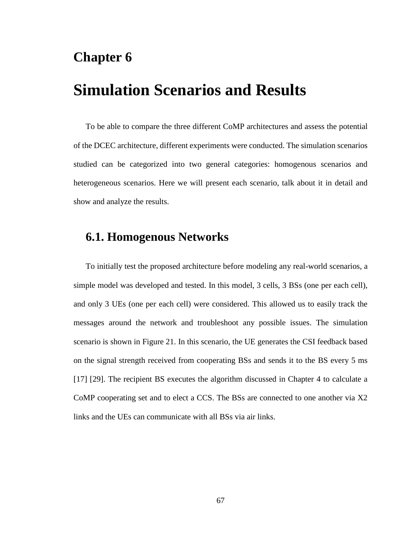### **Chapter 6**

## **Simulation Scenarios and Results**

To be able to compare the three different CoMP architectures and assess the potential of the DCEC architecture, different experiments were conducted. The simulation scenarios studied can be categorized into two general categories: homogenous scenarios and heterogeneous scenarios. Here we will present each scenario, talk about it in detail and show and analyze the results.

#### **6.1. Homogenous Networks**

To initially test the proposed architecture before modeling any real-world scenarios, a simple model was developed and tested. In this model, 3 cells, 3 BSs (one per each cell), and only 3 UEs (one per each cell) were considered. This allowed us to easily track the messages around the network and troubleshoot any possible issues. The simulation scenario is shown in [Figure 21.](#page-80-0) In this scenario, the UE generates the CSI feedback based on the signal strength received from cooperating BSs and sends it to the BS every 5 ms [17] [29]. The recipient BS executes the algorithm discussed in Chapter 4 to calculate a CoMP cooperating set and to elect a CCS. The BSs are connected to one another via X2 links and the UEs can communicate with all BSs via air links.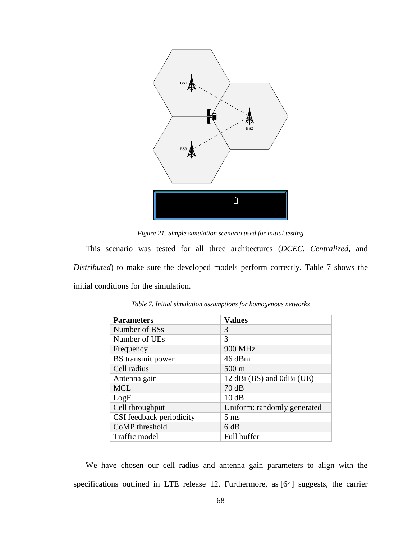

*Figure 21. Simple simulation scenario used for initial testing*

<span id="page-80-0"></span>This scenario was tested for all three architectures (*DCEC, Centralized,* and *Distributed*) to make sure the developed models perform correctly. [Table 7](#page-80-1) shows the initial conditions for the simulation.

<span id="page-80-1"></span>

| <b>Parameters</b>        | <b>Values</b>               |
|--------------------------|-----------------------------|
| Number of BSs            | 3                           |
| Number of UEs            | 3                           |
| Frequency                | 900 MHz                     |
| BS transmit power        | 46 dBm                      |
| Cell radius              | $500 \text{ m}$             |
| Antenna gain             | 12 dBi (BS) and 0dBi (UE)   |
| <b>MCL</b>               | 70dB                        |
| LogF                     | 10dB                        |
| Cell throughput          | Uniform: randomly generated |
| CSI feedback periodicity | $5 \text{ ms}$              |
| CoMP threshold           | 6 dB                        |
| Traffic model            | Full buffer                 |

*Table 7. Initial simulation assumptions for homogenous networks*

We have chosen our cell radius and antenna gain parameters to align with the specifications outlined in LTE release 12. Furthermore, as [64] suggests, the carrier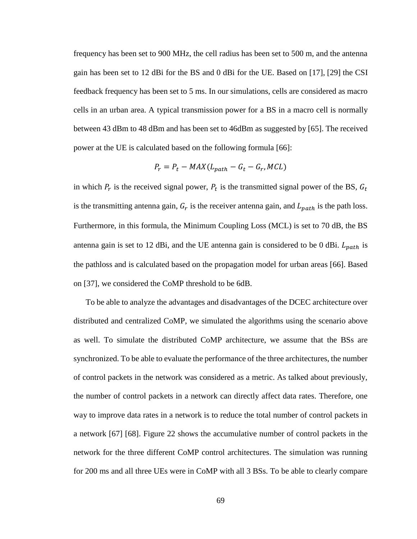frequency has been set to 900 MHz, the cell radius has been set to 500 m, and the antenna gain has been set to 12 dBi for the BS and 0 dBi for the UE. Based on [17], [29] the CSI feedback frequency has been set to 5 ms. In our simulations, cells are considered as macro cells in an urban area. A typical transmission power for a BS in a macro cell is normally between 43 dBm to 48 dBm and has been set to 46dBm as suggested by [65]. The received power at the UE is calculated based on the following formula [66]:

$$
P_r = P_t - MAX(L_{path} - G_t - G_r, MCL)
$$

in which  $P_r$  is the received signal power,  $P_t$  is the transmitted signal power of the BS,  $G_t$ is the transmitting antenna gain,  $G_r$  is the receiver antenna gain, and  $L_{path}$  is the path loss. Furthermore, in this formula, the Minimum Coupling Loss (MCL) is set to 70 dB, the BS antenna gain is set to 12 dBi, and the UE antenna gain is considered to be 0 dBi.  $L_{path}$  is the pathloss and is calculated based on the propagation model for urban areas [66]. Based on [37], we considered the CoMP threshold to be 6dB.

To be able to analyze the advantages and disadvantages of the DCEC architecture over distributed and centralized CoMP, we simulated the algorithms using the scenario above as well. To simulate the distributed CoMP architecture, we assume that the BSs are synchronized. To be able to evaluate the performance of the three architectures, the number of control packets in the network was considered as a metric. As talked about previously, the number of control packets in a network can directly affect data rates. Therefore, one way to improve data rates in a network is to reduce the total number of control packets in a network [67] [68]. [Figure 22](#page-82-0) shows the accumulative number of control packets in the network for the three different CoMP control architectures. The simulation was running for 200 ms and all three UEs were in CoMP with all 3 BSs. To be able to clearly compare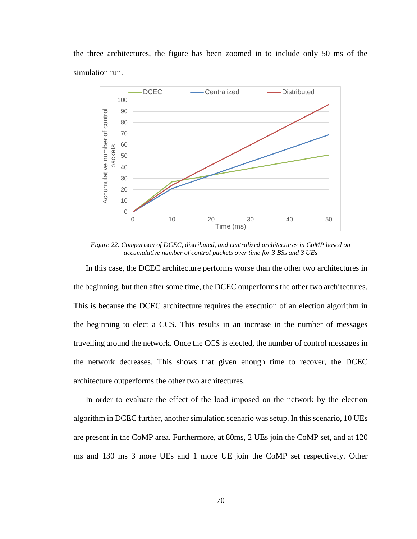the three architectures, the figure has been zoomed in to include only 50 ms of the simulation run.



<span id="page-82-0"></span>*Figure 22. Comparison of DCEC, distributed, and centralized architectures in CoMP based on accumulative number of control packets over time for 3 BSs and 3 UEs*

In this case, the DCEC architecture performs worse than the other two architectures in the beginning, but then after some time, the DCEC outperforms the other two architectures. This is because the DCEC architecture requires the execution of an election algorithm in the beginning to elect a CCS. This results in an increase in the number of messages travelling around the network. Once the CCS is elected, the number of control messages in the network decreases. This shows that given enough time to recover, the DCEC architecture outperforms the other two architectures.

In order to evaluate the effect of the load imposed on the network by the election algorithm in DCEC further, another simulation scenario was setup. In this scenario, 10 UEs are present in the CoMP area. Furthermore, at 80ms, 2 UEs join the CoMP set, and at 120 ms and 130 ms 3 more UEs and 1 more UE join the CoMP set respectively. Other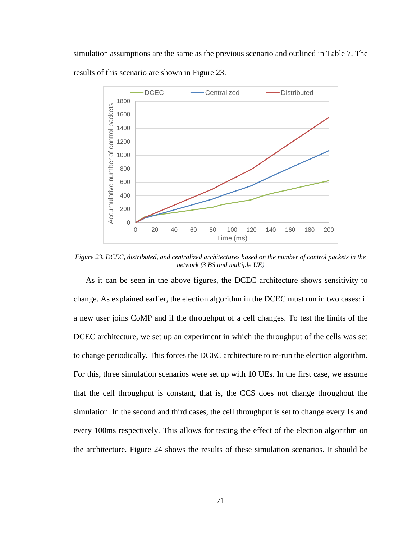simulation assumptions are the same as the previous scenario and outlined in [Table 7.](#page-80-1) The results of this scenario are shown in [Figure 23.](#page-83-0)



<span id="page-83-0"></span>*Figure 23. DCEC, distributed, and centralized architectures based on the number of control packets in the network (3 BS and multiple UE)*

As it can be seen in the above figures, the DCEC architecture shows sensitivity to change. As explained earlier, the election algorithm in the DCEC must run in two cases: if a new user joins CoMP and if the throughput of a cell changes. To test the limits of the DCEC architecture, we set up an experiment in which the throughput of the cells was set to change periodically. This forces the DCEC architecture to re-run the election algorithm. For this, three simulation scenarios were set up with 10 UEs. In the first case, we assume that the cell throughput is constant, that is, the CCS does not change throughout the simulation. In the second and third cases, the cell throughput is set to change every 1s and every 100ms respectively. This allows for testing the effect of the election algorithm on the architecture. [Figure 24](#page-84-0) shows the results of these simulation scenarios. It should be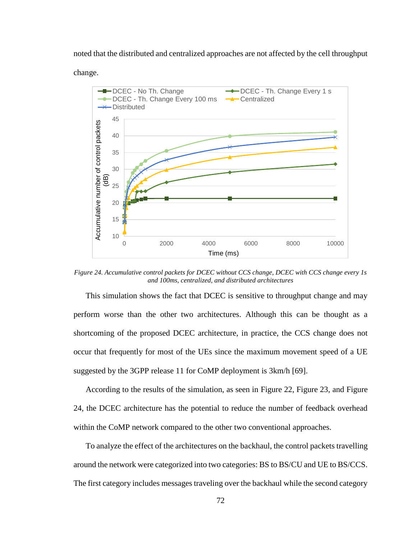noted that the distributed and centralized approaches are not affected by the cell throughput

change.



<span id="page-84-0"></span>*Figure 24. Accumulative control packets for DCEC without CCS change, DCEC with CCS change every 1s and 100ms, centralized, and distributed architectures*

This simulation shows the fact that DCEC is sensitive to throughput change and may perform worse than the other two architectures. Although this can be thought as a shortcoming of the proposed DCEC architecture, in practice, the CCS change does not occur that frequently for most of the UEs since the maximum movement speed of a UE suggested by the 3GPP release 11 for CoMP deployment is 3km/h [69].

According to the results of the simulation, as seen in [Figure 22,](#page-82-0) [Figure 23,](#page-83-0) and [Figure](#page-84-0)  [24,](#page-84-0) the DCEC architecture has the potential to reduce the number of feedback overhead within the CoMP network compared to the other two conventional approaches.

To analyze the effect of the architectures on the backhaul, the control packets travelling around the network were categorized into two categories: BS to BS/CU and UE to BS/CCS. The first category includes messages traveling over the backhaul while the second category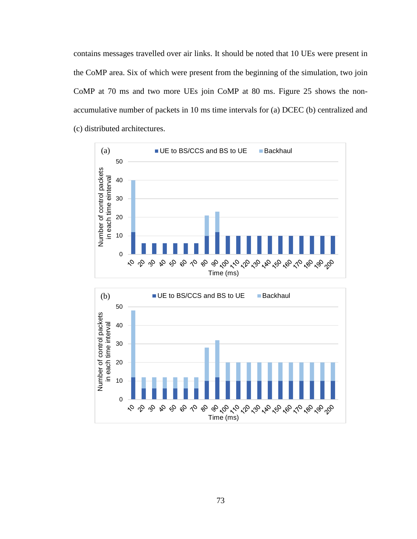contains messages travelled over air links. It should be noted that 10 UEs were present in the CoMP area. Six of which were present from the beginning of the simulation, two join CoMP at 70 ms and two more UEs join CoMP at 80 ms. [Figure 25](#page-86-0) shows the nonaccumulative number of packets in 10 ms time intervals for (a) DCEC (b) centralized and (c) distributed architectures.



 $\begin{array}{c} \sqrt{2}\, \sqrt{2}\, \sqrt{2}\, \sqrt{2}\, \sqrt{2}\, \sqrt{2}\, \sqrt{2}\, \sqrt{2}\, \sqrt{2}\, \sqrt{2}\, \sqrt{2}\, \sqrt{2}\, \sqrt{2}\, \sqrt{2}\, \sqrt{2}\, \sqrt{2}\, \sqrt{2}\, \sqrt{2}\, \sqrt{2}\, \sqrt{2}\, \sqrt{2}\, \sqrt{2}\, \sqrt{2}\, \sqrt{2}\, \sqrt{2}\, \sqrt{2}\, \sqrt{2}\, \sqrt{2}\, \sqrt{2}\, \sqrt{2}\, \sqrt{2}\, \sqrt{2}\, \sqrt{2}\, \sqrt{2}\, \sqrt{2}\, \sqrt{$ 

191810181990

0

o o o

 $\varphi$ Q,  $\mathcal{S}$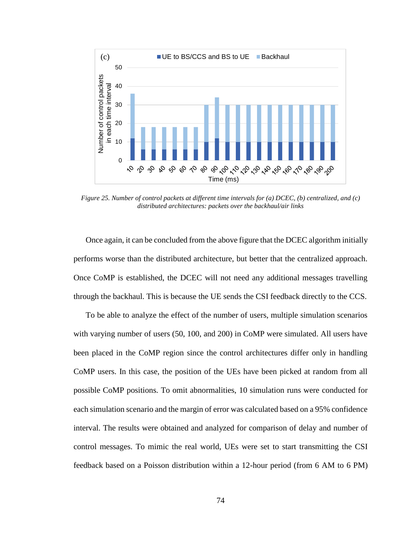

<span id="page-86-0"></span>*Figure 25. Number of control packets at different time intervals for (a) DCEC, (b) centralized, and (c) distributed architectures: packets over the backhaul/air links*

Once again, it can be concluded from the above figure that the DCEC algorithm initially performs worse than the distributed architecture, but better that the centralized approach. Once CoMP is established, the DCEC will not need any additional messages travelling through the backhaul. This is because the UE sends the CSI feedback directly to the CCS.

To be able to analyze the effect of the number of users, multiple simulation scenarios with varying number of users (50, 100, and 200) in CoMP were simulated. All users have been placed in the CoMP region since the control architectures differ only in handling CoMP users. In this case, the position of the UEs have been picked at random from all possible CoMP positions. To omit abnormalities, 10 simulation runs were conducted for each simulation scenario and the margin of error was calculated based on a 95% confidence interval. The results were obtained and analyzed for comparison of delay and number of control messages. To mimic the real world, UEs were set to start transmitting the CSI feedback based on a Poisson distribution within a 12-hour period (from 6 AM to 6 PM)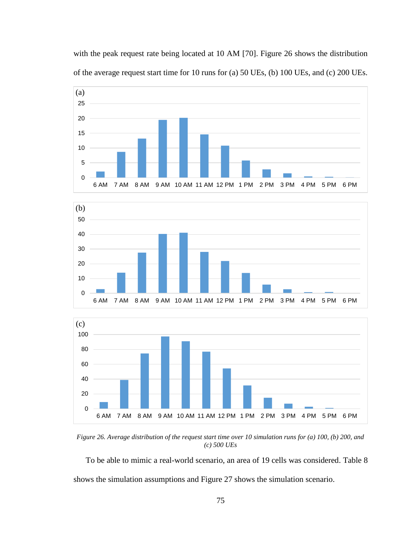with the peak request rate being located at 10 AM [70]. [Figure 26](#page-87-0) shows the distribution of the average request start time for 10 runs for (a) 50 UEs, (b) 100 UEs, and (c) 200 UEs.







<span id="page-87-0"></span>*Figure 26. Average distribution of the request start time over 10 simulation runs for (a) 100, (b) 200, and (c) 500 UEs*

To be able to mimic a real-world scenario, an area of 19 cells was considered. [Table 8](#page-88-0) shows the simulation assumptions and [Figure 27](#page-88-1) shows the simulation scenario.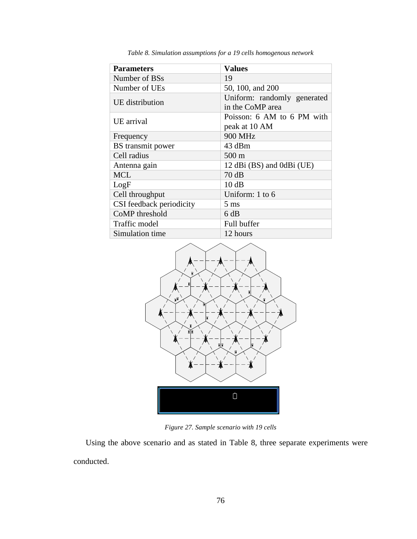<span id="page-88-0"></span>

| <b>Parameters</b>        | <b>Values</b>                                   |
|--------------------------|-------------------------------------------------|
| Number of BSs            | 19                                              |
| Number of UEs            | 50, 100, and 200                                |
| UE distribution          | Uniform: randomly generated<br>in the CoMP area |
| UE arrival               | Poisson: 6 AM to 6 PM with                      |
|                          | peak at 10 AM                                   |
| Frequency                | <b>900 MHz</b>                                  |
| BS transmit power        | 43 dBm                                          |
| Cell radius              | $500 \text{ m}$                                 |
| Antenna gain             | 12 dBi (BS) and 0dBi (UE)                       |
| <b>MCL</b>               | 70dB                                            |
| LogF                     | 10dB                                            |
| Cell throughput          | Uniform: 1 to 6                                 |
| CSI feedback periodicity | $5 \text{ ms}$                                  |
| CoMP threshold           | 6 dB                                            |
| Traffic model            | Full buffer                                     |
| Simulation time          | 12 hours                                        |

*Table 8. Simulation assumptions for a 19 cells homogenous network*



*Figure 27. Sample scenario with 19 cells*

<span id="page-88-1"></span>Using the above scenario and as stated in [Table 8,](#page-88-0) three separate experiments were conducted.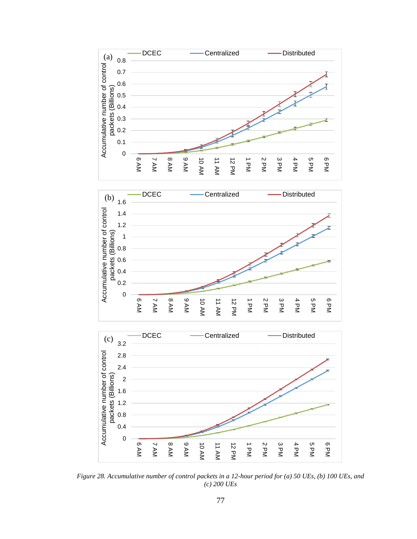

<span id="page-89-0"></span>*Figure 28. Accumulative number of control packets in a 12-hour period for (a) 50 UEs, (b) 100 UEs, and (c) 200 UEs*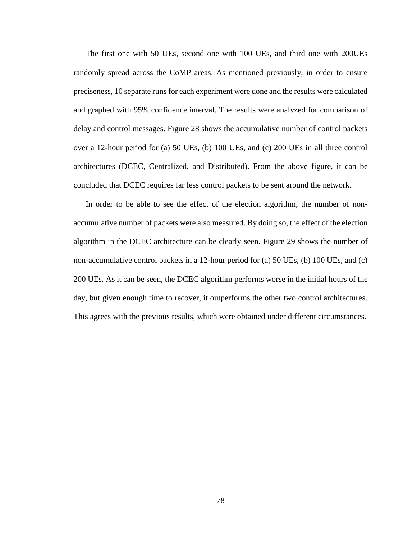The first one with 50 UEs, second one with 100 UEs, and third one with 200UEs randomly spread across the CoMP areas. As mentioned previously, in order to ensure preciseness, 10 separate runs for each experiment were done and the results were calculated and graphed with 95% confidence interval. The results were analyzed for comparison of delay and control messages. [Figure 28](#page-89-0) shows the accumulative number of control packets over a 12-hour period for (a) 50 UEs, (b) 100 UEs, and (c) 200 UEs in all three control architectures (DCEC, Centralized, and Distributed). From the above figure, it can be concluded that DCEC requires far less control packets to be sent around the network.

In order to be able to see the effect of the election algorithm, the number of nonaccumulative number of packets were also measured. By doing so, the effect of the election algorithm in the DCEC architecture can be clearly seen. [Figure 29](#page-91-0) shows the number of non-accumulative control packets in a 12-hour period for (a) 50 UEs, (b) 100 UEs, and (c) 200 UEs. As it can be seen, the DCEC algorithm performs worse in the initial hours of the day, but given enough time to recover, it outperforms the other two control architectures. This agrees with the previous results, which were obtained under different circumstances.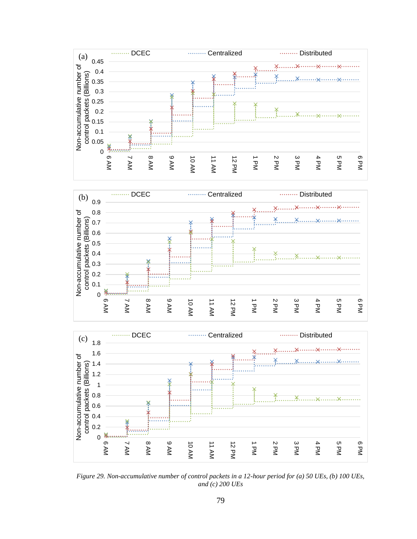





<span id="page-91-0"></span>*Figure 29. Non-accumulative number of control packets in a 12-hour period for (a) 50 UEs, (b) 100 UEs, and (c) 200 UEs*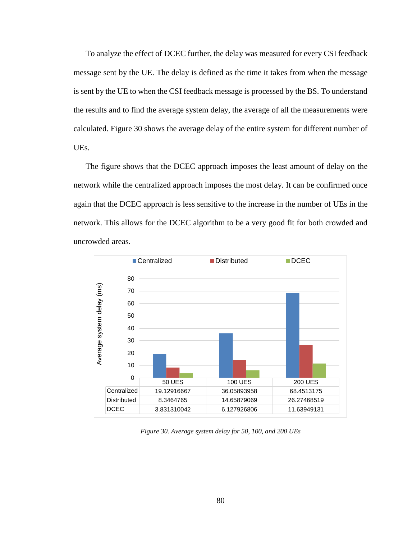To analyze the effect of DCEC further, the delay was measured for every CSI feedback message sent by the UE. The delay is defined as the time it takes from when the message is sent by the UE to when the CSI feedback message is processed by the BS. To understand the results and to find the average system delay, the average of all the measurements were calculated. [Figure 30](#page-92-0) shows the average delay of the entire system for different number of UEs.

The figure shows that the DCEC approach imposes the least amount of delay on the network while the centralized approach imposes the most delay. It can be confirmed once again that the DCEC approach is less sensitive to the increase in the number of UEs in the network. This allows for the DCEC algorithm to be a very good fit for both crowded and uncrowded areas.



<span id="page-92-0"></span>*Figure 30. Average system delay for 50, 100, and 200 UEs*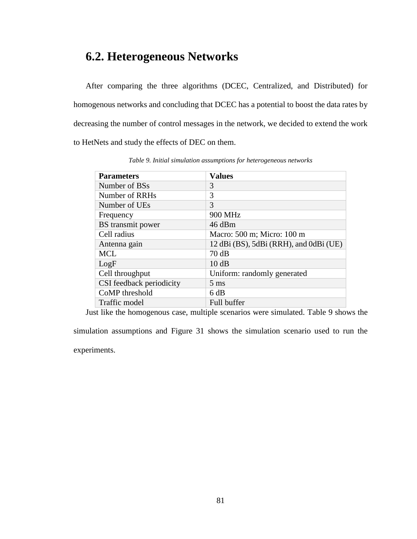### **6.2. Heterogeneous Networks**

After comparing the three algorithms (DCEC, Centralized, and Distributed) for homogenous networks and concluding that DCEC has a potential to boost the data rates by decreasing the number of control messages in the network, we decided to extend the work to HetNets and study the effects of DEC on them.

<span id="page-93-0"></span>

| <b>Parameters</b>        | <b>Values</b>                          |
|--------------------------|----------------------------------------|
| Number of BSs            | 3                                      |
| Number of RRHs           | 3                                      |
| Number of UEs            | 3                                      |
| Frequency                | 900 MHz                                |
| BS transmit power        | $46$ dBm                               |
| Cell radius              | Macro: 500 m; Micro: 100 m             |
| Antenna gain             | 12 dBi (BS), 5dBi (RRH), and 0dBi (UE) |
| <b>MCL</b>               | 70dB                                   |
| LogF                     | 10dB                                   |
| Cell throughput          | Uniform: randomly generated            |
| CSI feedback periodicity | $5 \text{ ms}$                         |
| CoMP threshold           | 6 dB                                   |
| Traffic model            | Full buffer                            |

*Table 9. Initial simulation assumptions for heterogeneous networks*

Just like the homogenous case, multiple scenarios were simulated. [Table 9](#page-93-0) shows the

simulation assumptions and [Figure 31](#page-94-0) shows the simulation scenario used to run the experiments.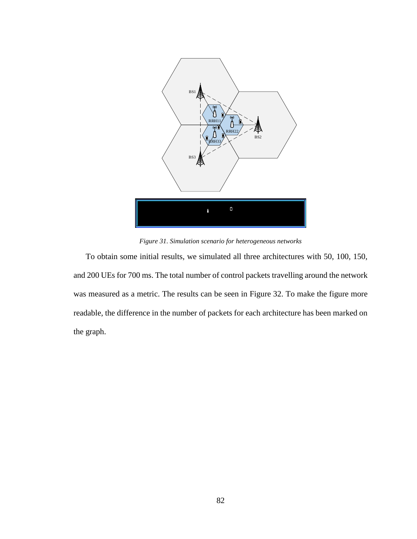

*Figure 31. Simulation scenario for heterogeneous networks*

<span id="page-94-0"></span>To obtain some initial results, we simulated all three architectures with 50, 100, 150, and 200 UEs for 700 ms. The total number of control packets travelling around the network was measured as a metric. The results can be seen in [Figure 32.](#page-95-0) To make the figure more readable, the difference in the number of packets for each architecture has been marked on the graph.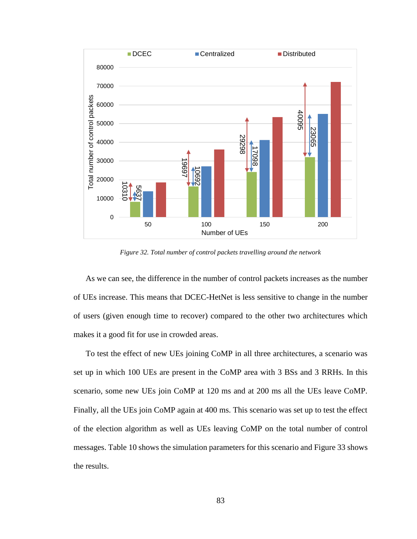

*Figure 32. Total number of control packets travelling around the network*

<span id="page-95-0"></span>As we can see, the difference in the number of control packets increases as the number of UEs increase. This means that DCEC-HetNet is less sensitive to change in the number of users (given enough time to recover) compared to the other two architectures which makes it a good fit for use in crowded areas.

To test the effect of new UEs joining CoMP in all three architectures, a scenario was set up in which 100 UEs are present in the CoMP area with 3 BSs and 3 RRHs. In this scenario, some new UEs join CoMP at 120 ms and at 200 ms all the UEs leave CoMP. Finally, all the UEs join CoMP again at 400 ms. This scenario was set up to test the effect of the election algorithm as well as UEs leaving CoMP on the total number of control messages. [Table 10](#page-96-0) shows the simulation parameters for this scenario and [Figure 33](#page-96-1) shows the results.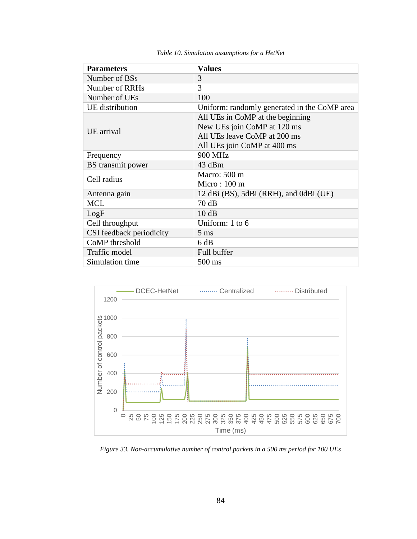<span id="page-96-0"></span>

| <b>Parameters</b>        | <b>Values</b>                                |
|--------------------------|----------------------------------------------|
| Number of BSs            | 3                                            |
| Number of RRHs           | 3                                            |
| Number of UEs            | 100                                          |
| UE distribution          | Uniform: randomly generated in the CoMP area |
|                          | All UEs in CoMP at the beginning             |
| UE arrival               | New UEs join CoMP at 120 ms                  |
|                          | All UEs leave CoMP at 200 ms                 |
|                          | All UEs join CoMP at 400 ms                  |
| Frequency                | 900 MHz                                      |
| BS transmit power        | 43 dBm                                       |
| Cell radius              | Macro: 500 m                                 |
|                          | Micro: $100 \text{ m}$                       |
| Antenna gain             | 12 dBi (BS), 5dBi (RRH), and 0dBi (UE)       |
| <b>MCL</b>               | 70dB                                         |
| LogF                     | 10dB                                         |
| Cell throughput          | Uniform: 1 to 6                              |
| CSI feedback periodicity | $5 \text{ ms}$                               |
| CoMP threshold           | 6 dB                                         |
| Traffic model            | Full buffer                                  |
| Simulation time          | 500 ms                                       |

*Table 10. Simulation assumptions for a HetNet*



<span id="page-96-1"></span>*Figure 33. Non-accumulative number of control packets in a 500 ms period for 100 UEs*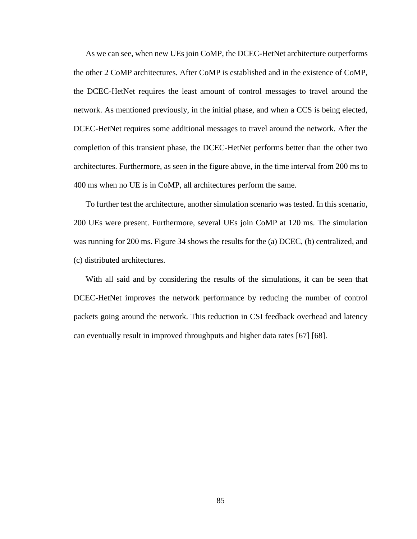As we can see, when new UEs join CoMP, the DCEC-HetNet architecture outperforms the other 2 CoMP architectures. After CoMP is established and in the existence of CoMP, the DCEC-HetNet requires the least amount of control messages to travel around the network. As mentioned previously, in the initial phase, and when a CCS is being elected, DCEC-HetNet requires some additional messages to travel around the network. After the completion of this transient phase, the DCEC-HetNet performs better than the other two architectures. Furthermore, as seen in the figure above, in the time interval from 200 ms to 400 ms when no UE is in CoMP, all architectures perform the same.

To further test the architecture, another simulation scenario was tested. In this scenario, 200 UEs were present. Furthermore, several UEs join CoMP at 120 ms. The simulation was running for 200 ms. [Figure 34](#page-98-0) shows the results for the (a) DCEC, (b) centralized, and (c) distributed architectures.

With all said and by considering the results of the simulations, it can be seen that DCEC-HetNet improves the network performance by reducing the number of control packets going around the network. This reduction in CSI feedback overhead and latency can eventually result in improved throughputs and higher data rates [67] [68].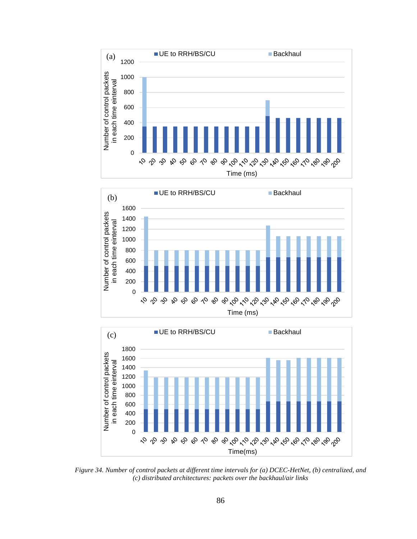





<span id="page-98-0"></span>*Figure 34. Number of control packets at different time intervals for (a) DCEC-HetNet, (b) centralized, and (c) distributed architectures: packets over the backhaul/air links*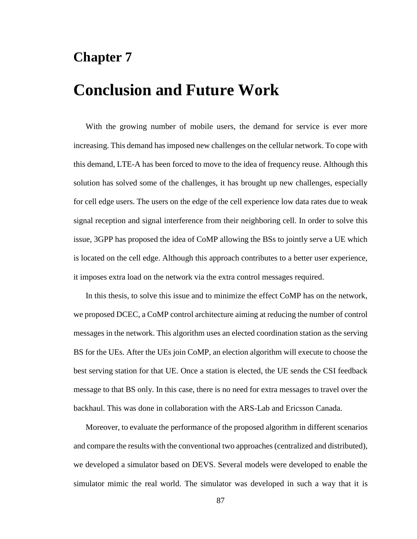#### **Chapter 7**

# **Conclusion and Future Work**

With the growing number of mobile users, the demand for service is ever more increasing. This demand has imposed new challenges on the cellular network. To cope with this demand, LTE-A has been forced to move to the idea of frequency reuse. Although this solution has solved some of the challenges, it has brought up new challenges, especially for cell edge users. The users on the edge of the cell experience low data rates due to weak signal reception and signal interference from their neighboring cell. In order to solve this issue, 3GPP has proposed the idea of CoMP allowing the BSs to jointly serve a UE which is located on the cell edge. Although this approach contributes to a better user experience, it imposes extra load on the network via the extra control messages required.

In this thesis, to solve this issue and to minimize the effect CoMP has on the network, we proposed DCEC, a CoMP control architecture aiming at reducing the number of control messages in the network. This algorithm uses an elected coordination station as the serving BS for the UEs. After the UEs join CoMP, an election algorithm will execute to choose the best serving station for that UE. Once a station is elected, the UE sends the CSI feedback message to that BS only. In this case, there is no need for extra messages to travel over the backhaul. This was done in collaboration with the ARS-Lab and Ericsson Canada.

Moreover, to evaluate the performance of the proposed algorithm in different scenarios and compare the results with the conventional two approaches (centralized and distributed), we developed a simulator based on DEVS. Several models were developed to enable the simulator mimic the real world. The simulator was developed in such a way that it is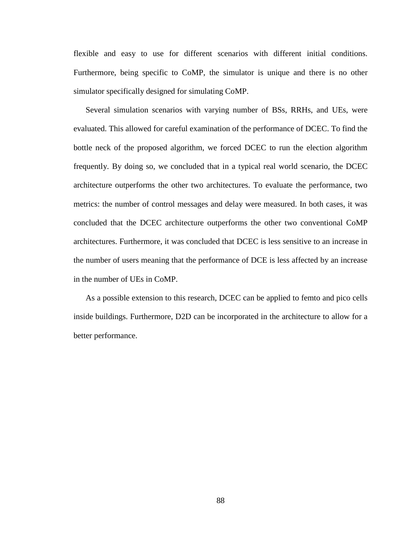flexible and easy to use for different scenarios with different initial conditions. Furthermore, being specific to CoMP, the simulator is unique and there is no other simulator specifically designed for simulating CoMP.

Several simulation scenarios with varying number of BSs, RRHs, and UEs, were evaluated. This allowed for careful examination of the performance of DCEC. To find the bottle neck of the proposed algorithm, we forced DCEC to run the election algorithm frequently. By doing so, we concluded that in a typical real world scenario, the DCEC architecture outperforms the other two architectures. To evaluate the performance, two metrics: the number of control messages and delay were measured. In both cases, it was concluded that the DCEC architecture outperforms the other two conventional CoMP architectures. Furthermore, it was concluded that DCEC is less sensitive to an increase in the number of users meaning that the performance of DCE is less affected by an increase in the number of UEs in CoMP.

As a possible extension to this research, DCEC can be applied to femto and pico cells inside buildings. Furthermore, D2D can be incorporated in the architecture to allow for a better performance.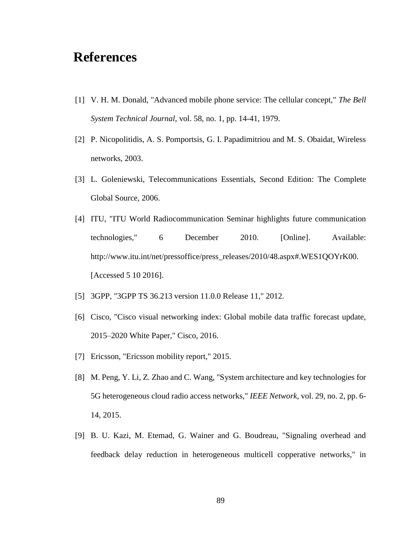#### **References**

- [1] V. H. M. Donald, "Advanced mobile phone service: The cellular concept," *The Bell System Technical Journal,* vol. 58, no. 1, pp. 14-41, 1979.
- [2] P. Nicopolitidis, A. S. Pomportsis, G. I. Papadimitriou and M. S. Obaidat, Wireless networks, 2003.
- [3] L. Goleniewski, Telecommunications Essentials, Second Edition: The Complete Global Source, 2006.
- [4] ITU, "ITU World Radiocommunication Seminar highlights future communication technologies," 6 December 2010. [Online]. Available: http://www.itu.int/net/pressoffice/press\_releases/2010/48.aspx#.WES1QOYrK00. [Accessed 5 10 2016].
- [5] 3GPP, "3GPP TS 36.213 version 11.0.0 Release 11," 2012.
- [6] Cisco, "Cisco visual networking index: Global mobile data traffic forecast update, 2015–2020 White Paper," Cisco, 2016.
- [7] Ericsson, "Ericsson mobility report," 2015.
- [8] M. Peng, Y. Li, Z. Zhao and C. Wang, "System architecture and key technologies for 5G heterogeneous cloud radio access networks," *IEEE Network,* vol. 29, no. 2, pp. 6- 14, 2015.
- [9] B. U. Kazi, M. Etemad, G. Wainer and G. Boudreau, "Signaling overhead and feedback delay reduction in heterogeneous multicell copperative networks," in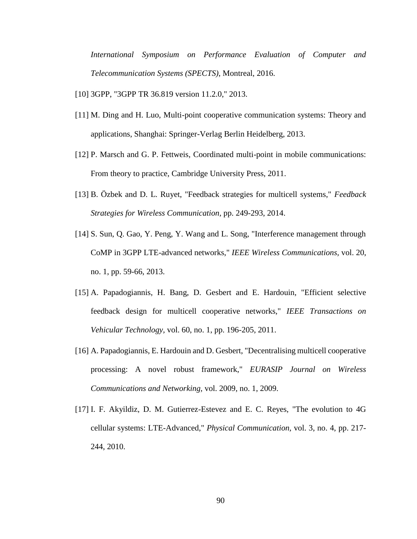*International Symposium on Performance Evaluation of Computer and Telecommunication Systems (SPECTS)*, Montreal, 2016.

- [10] 3GPP, "3GPP TR 36.819 version 11.2.0," 2013.
- [11] M. Ding and H. Luo, Multi-point cooperative communication systems: Theory and applications, Shanghai: Springer-Verlag Berlin Heidelberg, 2013.
- [12] P. Marsch and G. P. Fettweis, Coordinated multi-point in mobile communications: From theory to practice, Cambridge University Press, 2011.
- [13] B. Özbek and D. L. Ruyet, "Feedback strategies for multicell systems," *Feedback Strategies for Wireless Communication,* pp. 249-293, 2014.
- [14] S. Sun, Q. Gao, Y. Peng, Y. Wang and L. Song, "Interference management through CoMP in 3GPP LTE-advanced networks," *IEEE Wireless Communications,* vol. 20, no. 1, pp. 59-66, 2013.
- [15] A. Papadogiannis, H. Bang, D. Gesbert and E. Hardouin, "Efficient selective feedback design for multicell cooperative networks," *IEEE Transactions on Vehicular Technology,* vol. 60, no. 1, pp. 196-205, 2011.
- [16] A. Papadogiannis, E. Hardouin and D. Gesbert, "Decentralising multicell cooperative processing: A novel robust framework," *EURASIP Journal on Wireless Communications and Networking,* vol. 2009, no. 1, 2009.
- [17] I. F. Akyildiz, D. M. Gutierrez-Estevez and E. C. Reyes, "The evolution to 4G cellular systems: LTE-Advanced," *Physical Communication,* vol. 3, no. 4, pp. 217- 244, 2010.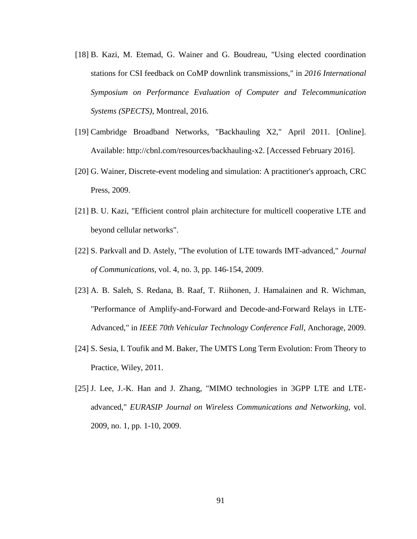- [18] B. Kazi, M. Etemad, G. Wainer and G. Boudreau, "Using elected coordination stations for CSI feedback on CoMP downlink transmissions," in *2016 International Symposium on Performance Evaluation of Computer and Telecommunication Systems (SPECTS)*, Montreal, 2016.
- [19] Cambridge Broadband Networks, "Backhauling X2," April 2011. [Online]. Available: http://cbnl.com/resources/backhauling-x2. [Accessed February 2016].
- [20] G. Wainer, Discrete-event modeling and simulation: A practitioner's approach, CRC Press, 2009.
- [21] B. U. Kazi, "Efficient control plain architecture for multicell cooperative LTE and beyond cellular networks".
- [22] S. Parkvall and D. Astely, "The evolution of LTE towards IMT-advanced," *Journal of Communications,* vol. 4, no. 3, pp. 146-154, 2009.
- [23] A. B. Saleh, S. Redana, B. Raaf, T. Riihonen, J. Hamalainen and R. Wichman, "Performance of Amplify-and-Forward and Decode-and-Forward Relays in LTE-Advanced," in *IEEE 70th Vehicular Technology Conference Fall*, Anchorage, 2009.
- [24] S. Sesia, I. Toufik and M. Baker, The UMTS Long Term Evolution: From Theory to Practice, Wiley, 2011.
- [25] J. Lee, J.-K. Han and J. Zhang, "MIMO technologies in 3GPP LTE and LTEadvanced," *EURASIP Journal on Wireless Communications and Networking,* vol. 2009, no. 1, pp. 1-10, 2009.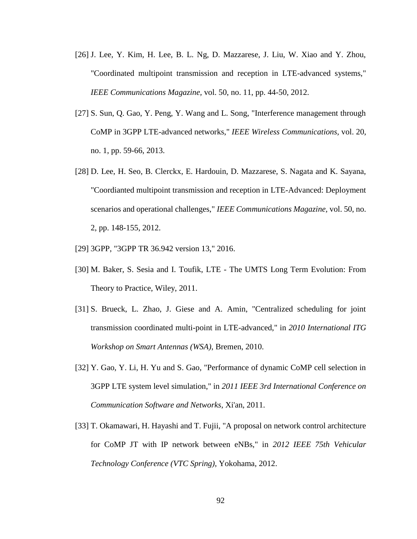- [26] J. Lee, Y. Kim, H. Lee, B. L. Ng, D. Mazzarese, J. Liu, W. Xiao and Y. Zhou, "Coordinated multipoint transmission and reception in LTE-advanced systems," *IEEE Communications Magazine,* vol. 50, no. 11, pp. 44-50, 2012.
- [27] S. Sun, Q. Gao, Y. Peng, Y. Wang and L. Song, "Interference management through CoMP in 3GPP LTE-advanced networks," *IEEE Wireless Communications,* vol. 20, no. 1, pp. 59-66, 2013.
- [28] D. Lee, H. Seo, B. Clerckx, E. Hardouin, D. Mazzarese, S. Nagata and K. Sayana, "Coordianted multipoint transmission and reception in LTE-Advanced: Deployment scenarios and operational challenges," *IEEE Communications Magazine,* vol. 50, no. 2, pp. 148-155, 2012.
- [29] 3GPP, "3GPP TR 36.942 version 13," 2016.
- [30] M. Baker, S. Sesia and I. Toufik, LTE The UMTS Long Term Evolution: From Theory to Practice, Wiley, 2011.
- [31] S. Brueck, L. Zhao, J. Giese and A. Amin, "Centralized scheduling for joint transmission coordinated multi-point in LTE-advanced," in *2010 International ITG Workshop on Smart Antennas (WSA)*, Bremen, 2010.
- [32] Y. Gao, Y. Li, H. Yu and S. Gao, "Performance of dynamic CoMP cell selection in 3GPP LTE system level simulation," in *2011 IEEE 3rd International Conference on Communication Software and Networks*, Xi'an, 2011.
- [33] T. Okamawari, H. Hayashi and T. Fujii, "A proposal on network control architecture for CoMP JT with IP network between eNBs," in *2012 IEEE 75th Vehicular Technology Conference (VTC Spring)*, Yokohama, 2012.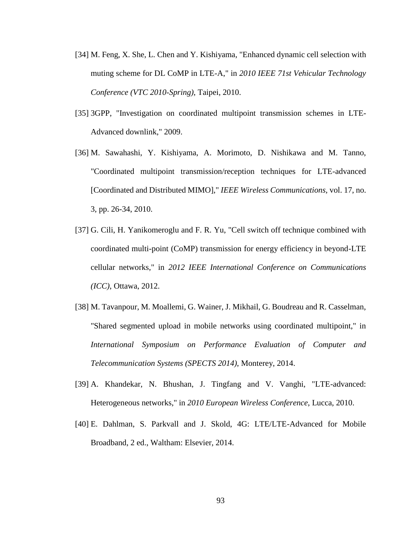- [34] M. Feng, X. She, L. Chen and Y. Kishiyama, "Enhanced dynamic cell selection with muting scheme for DL CoMP in LTE-A," in *2010 IEEE 71st Vehicular Technology Conference (VTC 2010-Spring)*, Taipei, 2010.
- [35] 3GPP, "Investigation on coordinated multipoint transmission schemes in LTE-Advanced downlink," 2009.
- [36] M. Sawahashi, Y. Kishiyama, A. Morimoto, D. Nishikawa and M. Tanno, "Coordinated multipoint transmission/reception techniques for LTE-advanced [Coordinated and Distributed MIMO]," *IEEE Wireless Communications,* vol. 17, no. 3, pp. 26-34, 2010.
- [37] G. Cili, H. Yanikomeroglu and F. R. Yu, "Cell switch off technique combined with coordinated multi-point (CoMP) transmission for energy efficiency in beyond-LTE cellular networks," in *2012 IEEE International Conference on Communications (ICC)*, Ottawa, 2012.
- [38] M. Tavanpour, M. Moallemi, G. Wainer, J. Mikhail, G. Boudreau and R. Casselman, "Shared segmented upload in mobile networks using coordinated multipoint," in *International Symposium on Performance Evaluation of Computer and Telecommunication Systems (SPECTS 2014)*, Monterey, 2014.
- [39] A. Khandekar, N. Bhushan, J. Tingfang and V. Vanghi, "LTE-advanced: Heterogeneous networks," in *2010 European Wireless Conference*, Lucca, 2010.
- [40] E. Dahlman, S. Parkvall and J. Skold, 4G: LTE/LTE-Advanced for Mobile Broadband, 2 ed., Waltham: Elsevier, 2014.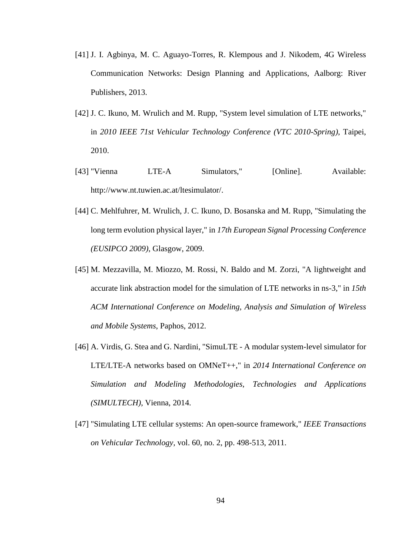- [41] J. I. Agbinya, M. C. Aguayo-Torres, R. Klempous and J. Nikodem, 4G Wireless Communication Networks: Design Planning and Applications, Aalborg: River Publishers, 2013.
- [42] J. C. Ikuno, M. Wrulich and M. Rupp, "System level simulation of LTE networks," in *2010 IEEE 71st Vehicular Technology Conference (VTC 2010-Spring)*, Taipei, 2010.
- [43] "Vienna LTE-A Simulators," [Online]. Available: http://www.nt.tuwien.ac.at/ltesimulator/.
- [44] C. Mehlfuhrer, M. Wrulich, J. C. Ikuno, D. Bosanska and M. Rupp, "Simulating the long term evolution physical layer," in *17th European Signal Processing Conference (EUSIPCO 2009)*, Glasgow, 2009.
- [45] M. Mezzavilla, M. Miozzo, M. Rossi, N. Baldo and M. Zorzi, "A lightweight and accurate link abstraction model for the simulation of LTE networks in ns-3," in *15th ACM International Conference on Modeling, Analysis and Simulation of Wireless and Mobile Systems*, Paphos, 2012.
- [46] A. Virdis, G. Stea and G. Nardini, "SimuLTE A modular system-level simulator for LTE/LTE-A networks based on OMNeT++," in *2014 International Conference on Simulation and Modeling Methodologies, Technologies and Applications (SIMULTECH)*, Vienna, 2014.
- [47] "Simulating LTE cellular systems: An open-source framework," *IEEE Transactions on Vehicular Technology,* vol. 60, no. 2, pp. 498-513, 2011.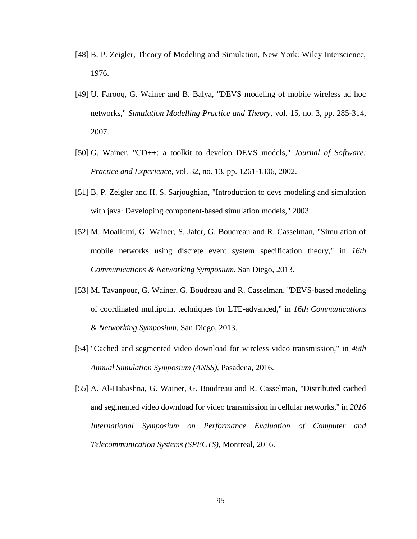- [48] B. P. Zeigler, Theory of Modeling and Simulation, New York: Wiley Interscience, 1976.
- [49] U. Farooq, G. Wainer and B. Balya, "DEVS modeling of mobile wireless ad hoc networks," *Simulation Modelling Practice and Theory,* vol. 15, no. 3, pp. 285-314, 2007.
- [50] G. Wainer, "CD++: a toolkit to develop DEVS models," *Journal of Software: Practice and Experience,* vol. 32, no. 13, pp. 1261-1306, 2002.
- [51] B. P. Zeigler and H. S. Sarjoughian, "Introduction to devs modeling and simulation with java: Developing component-based simulation models," 2003.
- [52] M. Moallemi, G. Wainer, S. Jafer, G. Boudreau and R. Casselman, "Simulation of mobile networks using discrete event system specification theory," in *16th Communications & Networking Symposium*, San Diego, 2013.
- [53] M. Tavanpour, G. Wainer, G. Boudreau and R. Casselman, "DEVS-based modeling of coordinated multipoint techniques for LTE-advanced," in *16th Communications & Networking Symposium*, San Diego, 2013.
- [54] "Cached and segmented video download for wireless video transmission," in *49th Annual Simulation Symposium (ANSS)*, Pasadena, 2016.
- [55] A. Al-Habashna, G. Wainer, G. Boudreau and R. Casselman, "Distributed cached and segmented video download for video transmission in cellular networks," in *2016 International Symposium on Performance Evaluation of Computer and Telecommunication Systems (SPECTS)*, Montreal, 2016.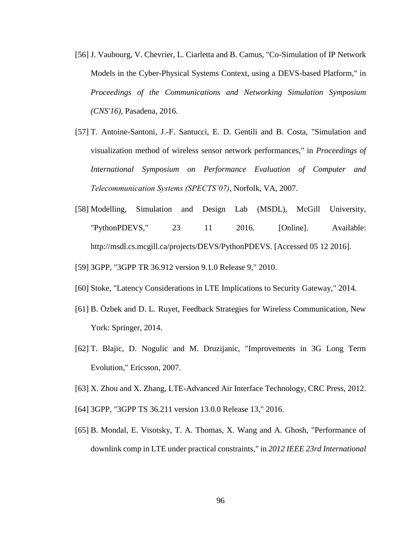- [56] J. Vaubourg, V. Chevrier, L. Ciarletta and B. Camus, "Co-Simulation of IP Network Models in the Cyber-Physical Systems Context, using a DEVS-based Platform," in *Proceedings of the Communications and Networking Simulation Symposium (CNS'16)*, Pasadena, 2016.
- [57] T. Antoine-Santoni, J.-F. Santucci, E. D. Gentili and B. Costa, "Simulation and visualization method of wireless sensor network performances," in *Proceedings of International Symposium on Performance Evaluation of Computer and Telecommunication Systems (SPECTS'07)*, Norfolk, VA, 2007.
- [58] Modelling, Simulation and Design Lab (MSDL), McGill University, "PythonPDEVS," 23 11 2016. [Online]. Available: http://msdl.cs.mcgill.ca/projects/DEVS/PythonPDEVS. [Accessed 05 12 2016].
- [59] 3GPP, "3GPP TR 36.912 version 9.1.0 Release 9," 2010.
- [60] Stoke, "Latency Considerations in LTE Implications to Security Gateway," 2014.
- [61] B. Özbek and D. L. Ruyet, Feedback Strategies for Wireless Communication, New York: Springer, 2014.
- [62] T. Blajic, D. Nogulic and M. Druzijanic, "Improvements in 3G Long Term Evolution," Ericsson, 2007.
- [63] X. Zhou and X. Zhang, LTE-Advanced Air Interface Technology, CRC Press, 2012.
- [64] 3GPP, "3GPP TS 36.211 version 13.0.0 Release 13," 2016.
- [65] B. Mondal, E. Visotsky, T. A. Thomas, X. Wang and A. Ghosh, "Performance of downlink comp in LTE under practical constraints," in *2012 IEEE 23rd International*